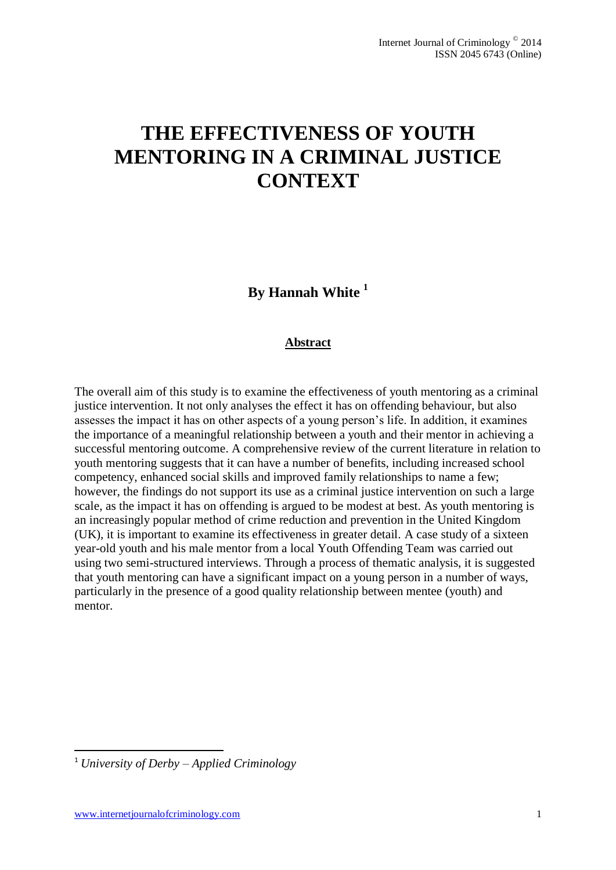# **THE EFFECTIVENESS OF YOUTH MENTORING IN A CRIMINAL JUSTICE CONTEXT**

**By Hannah White <sup>1</sup>**

# **Abstract**

The overall aim of this study is to examine the effectiveness of youth mentoring as a criminal justice intervention. It not only analyses the effect it has on offending behaviour, but also assesses the impact it has on other aspects of a young person's life. In addition, it examines the importance of a meaningful relationship between a youth and their mentor in achieving a successful mentoring outcome. A comprehensive review of the current literature in relation to youth mentoring suggests that it can have a number of benefits, including increased school competency, enhanced social skills and improved family relationships to name a few; however, the findings do not support its use as a criminal justice intervention on such a large scale, as the impact it has on offending is argued to be modest at best. As youth mentoring is an increasingly popular method of crime reduction and prevention in the United Kingdom (UK), it is important to examine its effectiveness in greater detail. A case study of a sixteen year-old youth and his male mentor from a local Youth Offending Team was carried out using two semi-structured interviews. Through a process of thematic analysis, it is suggested that youth mentoring can have a significant impact on a young person in a number of ways, particularly in the presence of a good quality relationship between mentee (youth) and mentor.

1

<sup>1</sup> *University of Derby – Applied Criminology*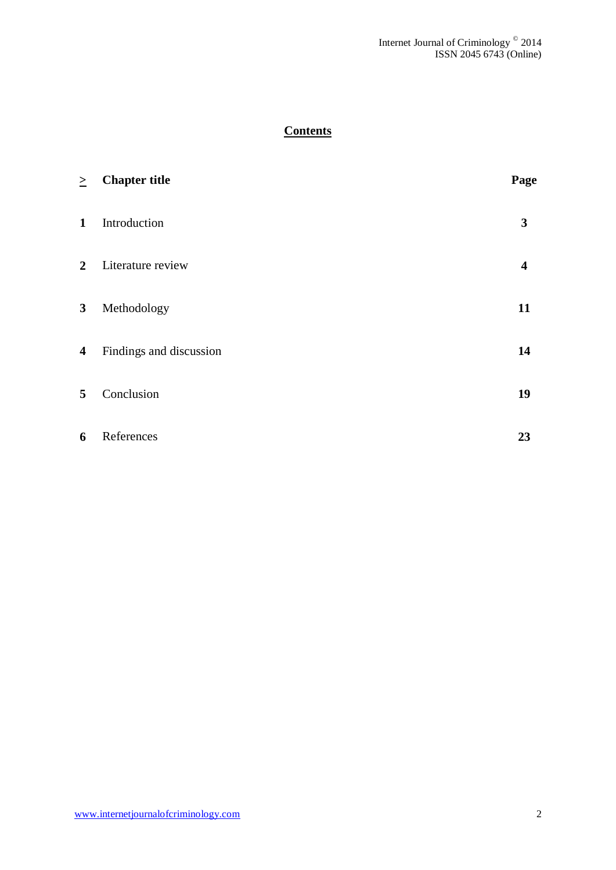# **Contents**

| $\geq$                  | <b>Chapter title</b>    | Page                    |
|-------------------------|-------------------------|-------------------------|
| $\mathbf{1}$            | Introduction            | $\mathbf{3}$            |
| $\overline{2}$          | Literature review       | $\overline{\mathbf{4}}$ |
| 3 <sup>1</sup>          | Methodology             | 11                      |
| $\overline{\mathbf{4}}$ | Findings and discussion | 14                      |
| 5                       | Conclusion              | 19                      |
| 6                       | References              | 23                      |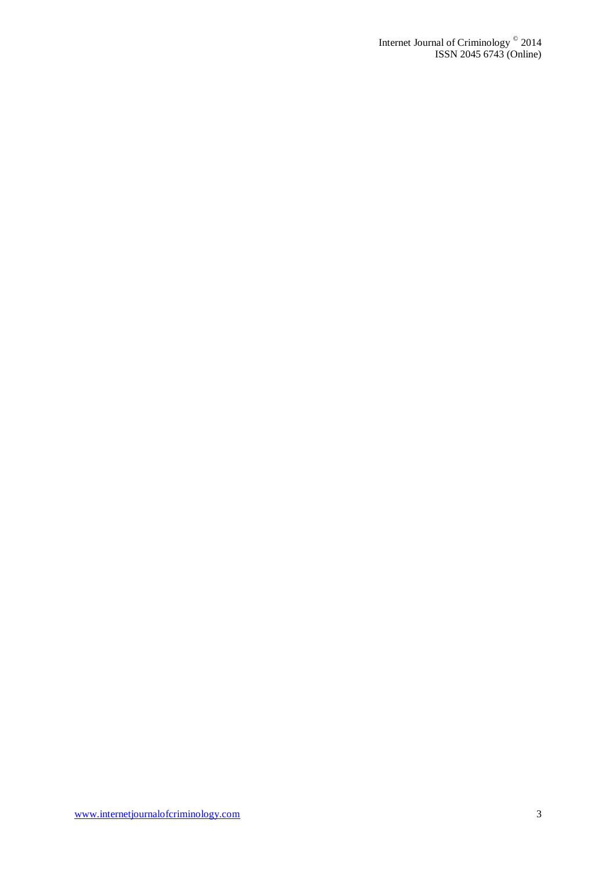Internet Journal of Criminology © 2014 ISSN 2045 6743 (Online)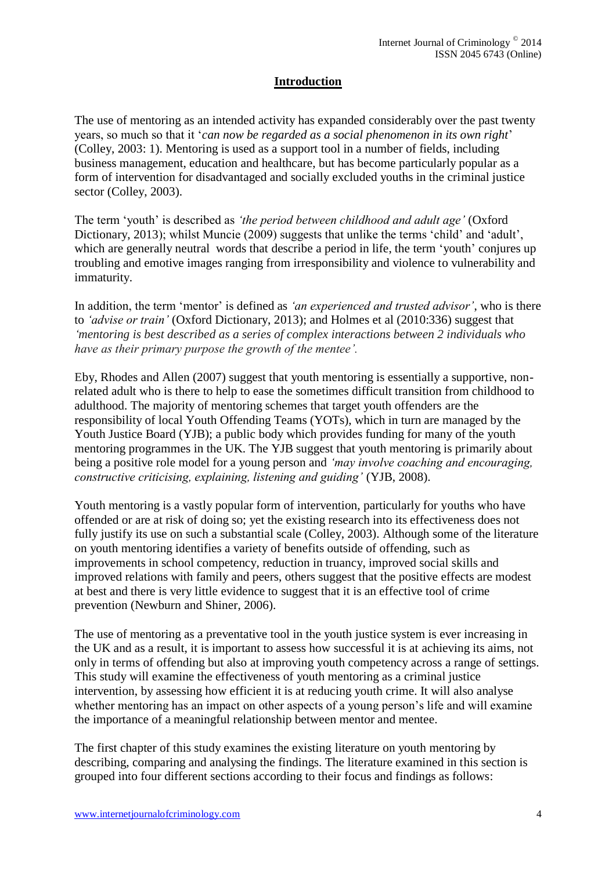# **Introduction**

The use of mentoring as an intended activity has expanded considerably over the past twenty years, so much so that it '*can now be regarded as a social phenomenon in its own right*' (Colley, 2003: 1). Mentoring is used as a support tool in a number of fields, including business management, education and healthcare, but has become particularly popular as a form of intervention for disadvantaged and socially excluded youths in the criminal justice sector (Colley, 2003).

The term 'youth' is described as *'the period between childhood and adult age'* (Oxford Dictionary, 2013); whilst Muncie (2009) suggests that unlike the terms 'child' and 'adult', which are generally neutral words that describe a period in life, the term 'youth' conjures up troubling and emotive images ranging from irresponsibility and violence to vulnerability and immaturity.

In addition, the term 'mentor' is defined as *'an experienced and trusted advisor'*, who is there to *'advise or train'* (Oxford Dictionary, 2013); and Holmes et al (2010:336) suggest that *'mentoring is best described as a series of complex interactions between 2 individuals who have as their primary purpose the growth of the mentee'.*

Eby, Rhodes and Allen (2007) suggest that youth mentoring is essentially a supportive, nonrelated adult who is there to help to ease the sometimes difficult transition from childhood to adulthood. The majority of mentoring schemes that target youth offenders are the responsibility of local Youth Offending Teams (YOTs), which in turn are managed by the Youth Justice Board (YJB); a public body which provides funding for many of the youth mentoring programmes in the UK. The YJB suggest that youth mentoring is primarily about being a positive role model for a young person and *'may involve coaching and encouraging, constructive criticising, explaining, listening and guiding'* (YJB, 2008).

Youth mentoring is a vastly popular form of intervention, particularly for youths who have offended or are at risk of doing so; yet the existing research into its effectiveness does not fully justify its use on such a substantial scale (Colley, 2003). Although some of the literature on youth mentoring identifies a variety of benefits outside of offending, such as improvements in school competency, reduction in truancy, improved social skills and improved relations with family and peers, others suggest that the positive effects are modest at best and there is very little evidence to suggest that it is an effective tool of crime prevention (Newburn and Shiner, 2006).

The use of mentoring as a preventative tool in the youth justice system is ever increasing in the UK and as a result, it is important to assess how successful it is at achieving its aims, not only in terms of offending but also at improving youth competency across a range of settings. This study will examine the effectiveness of youth mentoring as a criminal justice intervention, by assessing how efficient it is at reducing youth crime. It will also analyse whether mentoring has an impact on other aspects of a young person's life and will examine the importance of a meaningful relationship between mentor and mentee.

The first chapter of this study examines the existing literature on youth mentoring by describing, comparing and analysing the findings. The literature examined in this section is grouped into four different sections according to their focus and findings as follows: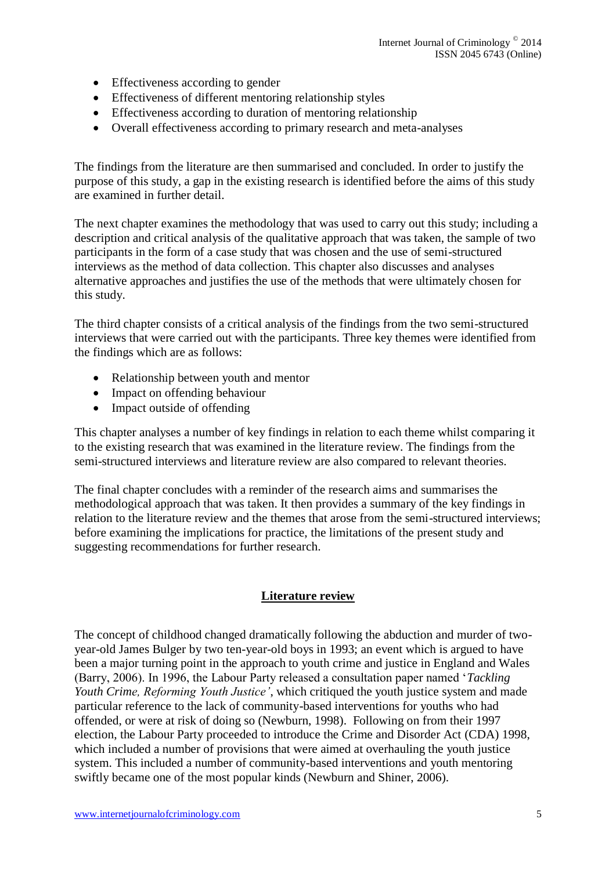- Effectiveness according to gender
- Effectiveness of different mentoring relationship styles
- Effectiveness according to duration of mentoring relationship
- Overall effectiveness according to primary research and meta-analyses

The findings from the literature are then summarised and concluded. In order to justify the purpose of this study, a gap in the existing research is identified before the aims of this study are examined in further detail.

The next chapter examines the methodology that was used to carry out this study; including a description and critical analysis of the qualitative approach that was taken, the sample of two participants in the form of a case study that was chosen and the use of semi-structured interviews as the method of data collection. This chapter also discusses and analyses alternative approaches and justifies the use of the methods that were ultimately chosen for this study.

The third chapter consists of a critical analysis of the findings from the two semi-structured interviews that were carried out with the participants. Three key themes were identified from the findings which are as follows:

- Relationship between youth and mentor
- Impact on offending behaviour
- Impact outside of offending

This chapter analyses a number of key findings in relation to each theme whilst comparing it to the existing research that was examined in the literature review. The findings from the semi-structured interviews and literature review are also compared to relevant theories.

The final chapter concludes with a reminder of the research aims and summarises the methodological approach that was taken. It then provides a summary of the key findings in relation to the literature review and the themes that arose from the semi-structured interviews; before examining the implications for practice, the limitations of the present study and suggesting recommendations for further research.

# **Literature review**

The concept of childhood changed dramatically following the abduction and murder of twoyear-old James Bulger by two ten-year-old boys in 1993; an event which is argued to have been a major turning point in the approach to youth crime and justice in England and Wales (Barry, 2006). In 1996, the Labour Party released a consultation paper named '*Tackling Youth Crime, Reforming Youth Justice'*, which critiqued the youth justice system and made particular reference to the lack of community-based interventions for youths who had offended, or were at risk of doing so (Newburn, 1998). Following on from their 1997 election, the Labour Party proceeded to introduce the Crime and Disorder Act (CDA) 1998, which included a number of provisions that were aimed at overhauling the youth justice system. This included a number of community-based interventions and youth mentoring swiftly became one of the most popular kinds (Newburn and Shiner, 2006).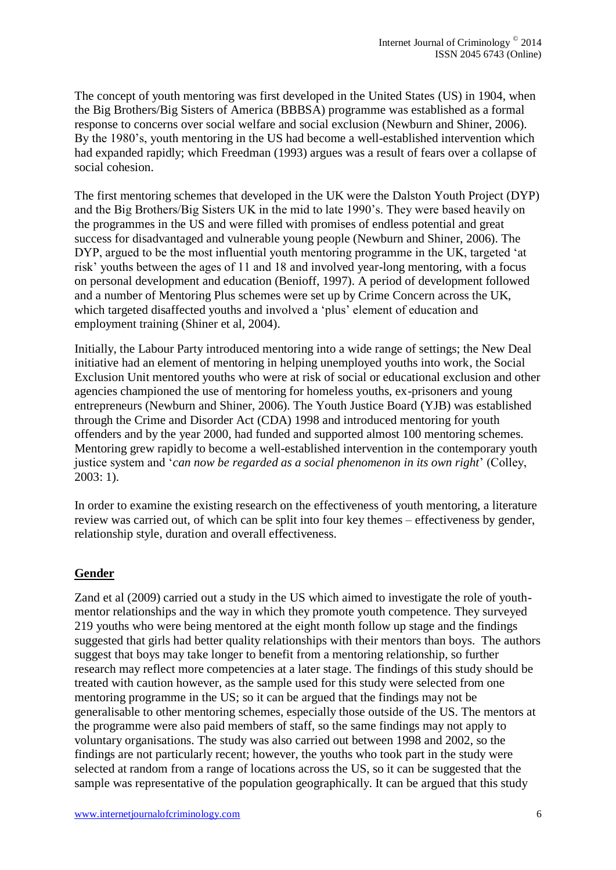The concept of youth mentoring was first developed in the United States (US) in 1904, when the Big Brothers/Big Sisters of America (BBBSA) programme was established as a formal response to concerns over social welfare and social exclusion (Newburn and Shiner, 2006). By the 1980's, youth mentoring in the US had become a well-established intervention which had expanded rapidly; which Freedman (1993) argues was a result of fears over a collapse of social cohesion.

The first mentoring schemes that developed in the UK were the Dalston Youth Project (DYP) and the Big Brothers/Big Sisters UK in the mid to late 1990's. They were based heavily on the programmes in the US and were filled with promises of endless potential and great success for disadvantaged and vulnerable young people (Newburn and Shiner, 2006). The DYP, argued to be the most influential youth mentoring programme in the UK, targeted 'at risk' youths between the ages of 11 and 18 and involved year-long mentoring, with a focus on personal development and education (Benioff, 1997). A period of development followed and a number of Mentoring Plus schemes were set up by Crime Concern across the UK, which targeted disaffected youths and involved a 'plus' element of education and employment training (Shiner et al, 2004).

Initially, the Labour Party introduced mentoring into a wide range of settings; the New Deal initiative had an element of mentoring in helping unemployed youths into work, the Social Exclusion Unit mentored youths who were at risk of social or educational exclusion and other agencies championed the use of mentoring for homeless youths, ex-prisoners and young entrepreneurs (Newburn and Shiner, 2006). The Youth Justice Board (YJB) was established through the Crime and Disorder Act (CDA) 1998 and introduced mentoring for youth offenders and by the year 2000, had funded and supported almost 100 mentoring schemes. Mentoring grew rapidly to become a well-established intervention in the contemporary youth justice system and '*can now be regarded as a social phenomenon in its own right*' (Colley, 2003: 1).

In order to examine the existing research on the effectiveness of youth mentoring, a literature review was carried out, of which can be split into four key themes – effectiveness by gender, relationship style, duration and overall effectiveness.

# **Gender**

Zand et al (2009) carried out a study in the US which aimed to investigate the role of youthmentor relationships and the way in which they promote youth competence. They surveyed 219 youths who were being mentored at the eight month follow up stage and the findings suggested that girls had better quality relationships with their mentors than boys. The authors suggest that boys may take longer to benefit from a mentoring relationship, so further research may reflect more competencies at a later stage. The findings of this study should be treated with caution however, as the sample used for this study were selected from one mentoring programme in the US; so it can be argued that the findings may not be generalisable to other mentoring schemes, especially those outside of the US. The mentors at the programme were also paid members of staff, so the same findings may not apply to voluntary organisations. The study was also carried out between 1998 and 2002, so the findings are not particularly recent; however, the youths who took part in the study were selected at random from a range of locations across the US, so it can be suggested that the sample was representative of the population geographically. It can be argued that this study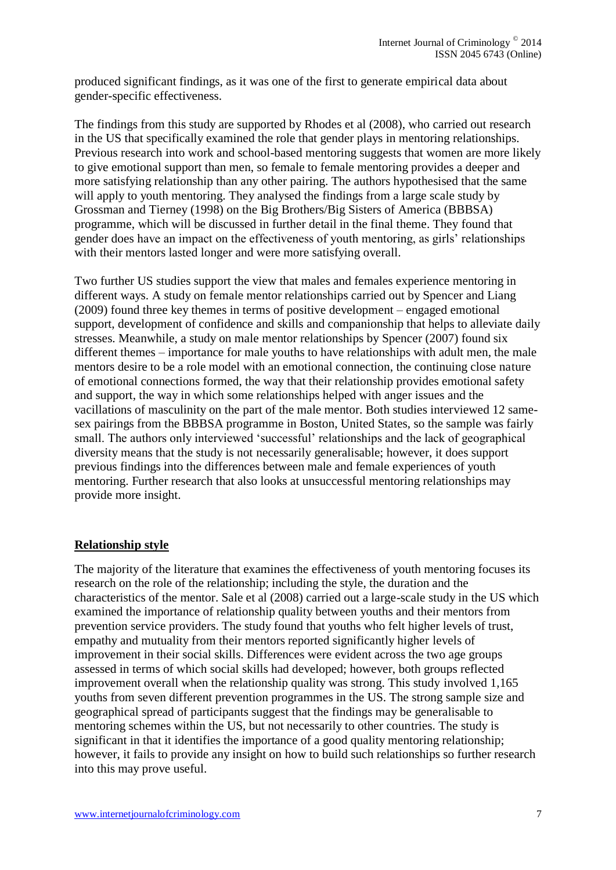produced significant findings, as it was one of the first to generate empirical data about gender-specific effectiveness.

The findings from this study are supported by Rhodes et al (2008), who carried out research in the US that specifically examined the role that gender plays in mentoring relationships. Previous research into work and school-based mentoring suggests that women are more likely to give emotional support than men, so female to female mentoring provides a deeper and more satisfying relationship than any other pairing. The authors hypothesised that the same will apply to youth mentoring. They analysed the findings from a large scale study by Grossman and Tierney (1998) on the Big Brothers/Big Sisters of America (BBBSA) programme, which will be discussed in further detail in the final theme. They found that gender does have an impact on the effectiveness of youth mentoring, as girls' relationships with their mentors lasted longer and were more satisfying overall.

Two further US studies support the view that males and females experience mentoring in different ways. A study on female mentor relationships carried out by Spencer and Liang (2009) found three key themes in terms of positive development – engaged emotional support, development of confidence and skills and companionship that helps to alleviate daily stresses. Meanwhile, a study on male mentor relationships by Spencer (2007) found six different themes – importance for male youths to have relationships with adult men, the male mentors desire to be a role model with an emotional connection, the continuing close nature of emotional connections formed, the way that their relationship provides emotional safety and support, the way in which some relationships helped with anger issues and the vacillations of masculinity on the part of the male mentor. Both studies interviewed 12 samesex pairings from the BBBSA programme in Boston, United States, so the sample was fairly small. The authors only interviewed 'successful' relationships and the lack of geographical diversity means that the study is not necessarily generalisable; however, it does support previous findings into the differences between male and female experiences of youth mentoring. Further research that also looks at unsuccessful mentoring relationships may provide more insight.

# **Relationship style**

The majority of the literature that examines the effectiveness of youth mentoring focuses its research on the role of the relationship; including the style, the duration and the characteristics of the mentor. Sale et al (2008) carried out a large-scale study in the US which examined the importance of relationship quality between youths and their mentors from prevention service providers. The study found that youths who felt higher levels of trust, empathy and mutuality from their mentors reported significantly higher levels of improvement in their social skills. Differences were evident across the two age groups assessed in terms of which social skills had developed; however, both groups reflected improvement overall when the relationship quality was strong. This study involved 1,165 youths from seven different prevention programmes in the US. The strong sample size and geographical spread of participants suggest that the findings may be generalisable to mentoring schemes within the US, but not necessarily to other countries. The study is significant in that it identifies the importance of a good quality mentoring relationship; however, it fails to provide any insight on how to build such relationships so further research into this may prove useful.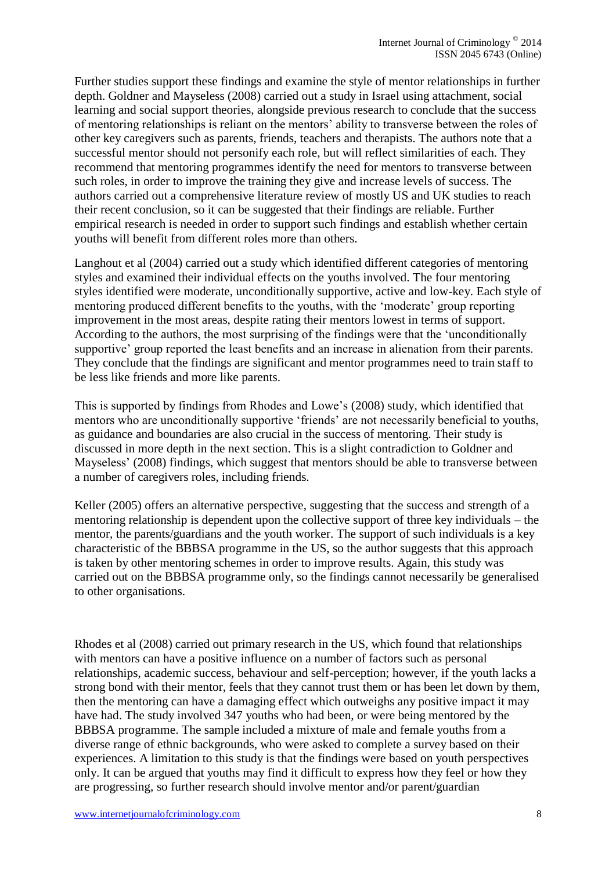Further studies support these findings and examine the style of mentor relationships in further depth. Goldner and Mayseless (2008) carried out a study in Israel using attachment, social learning and social support theories, alongside previous research to conclude that the success of mentoring relationships is reliant on the mentors' ability to transverse between the roles of other key caregivers such as parents, friends, teachers and therapists. The authors note that a successful mentor should not personify each role, but will reflect similarities of each. They recommend that mentoring programmes identify the need for mentors to transverse between such roles, in order to improve the training they give and increase levels of success. The authors carried out a comprehensive literature review of mostly US and UK studies to reach their recent conclusion, so it can be suggested that their findings are reliable. Further empirical research is needed in order to support such findings and establish whether certain youths will benefit from different roles more than others.

Langhout et al (2004) carried out a study which identified different categories of mentoring styles and examined their individual effects on the youths involved. The four mentoring styles identified were moderate, unconditionally supportive, active and low-key. Each style of mentoring produced different benefits to the youths, with the 'moderate' group reporting improvement in the most areas, despite rating their mentors lowest in terms of support. According to the authors, the most surprising of the findings were that the 'unconditionally supportive' group reported the least benefits and an increase in alienation from their parents. They conclude that the findings are significant and mentor programmes need to train staff to be less like friends and more like parents.

This is supported by findings from Rhodes and Lowe's (2008) study, which identified that mentors who are unconditionally supportive 'friends' are not necessarily beneficial to youths, as guidance and boundaries are also crucial in the success of mentoring. Their study is discussed in more depth in the next section. This is a slight contradiction to Goldner and Mayseless' (2008) findings, which suggest that mentors should be able to transverse between a number of caregivers roles, including friends.

Keller (2005) offers an alternative perspective, suggesting that the success and strength of a mentoring relationship is dependent upon the collective support of three key individuals – the mentor, the parents/guardians and the youth worker. The support of such individuals is a key characteristic of the BBBSA programme in the US, so the author suggests that this approach is taken by other mentoring schemes in order to improve results. Again, this study was carried out on the BBBSA programme only, so the findings cannot necessarily be generalised to other organisations.

Rhodes et al (2008) carried out primary research in the US, which found that relationships with mentors can have a positive influence on a number of factors such as personal relationships, academic success, behaviour and self-perception; however, if the youth lacks a strong bond with their mentor, feels that they cannot trust them or has been let down by them, then the mentoring can have a damaging effect which outweighs any positive impact it may have had. The study involved 347 youths who had been, or were being mentored by the BBBSA programme. The sample included a mixture of male and female youths from a diverse range of ethnic backgrounds, who were asked to complete a survey based on their experiences. A limitation to this study is that the findings were based on youth perspectives only. It can be argued that youths may find it difficult to express how they feel or how they are progressing, so further research should involve mentor and/or parent/guardian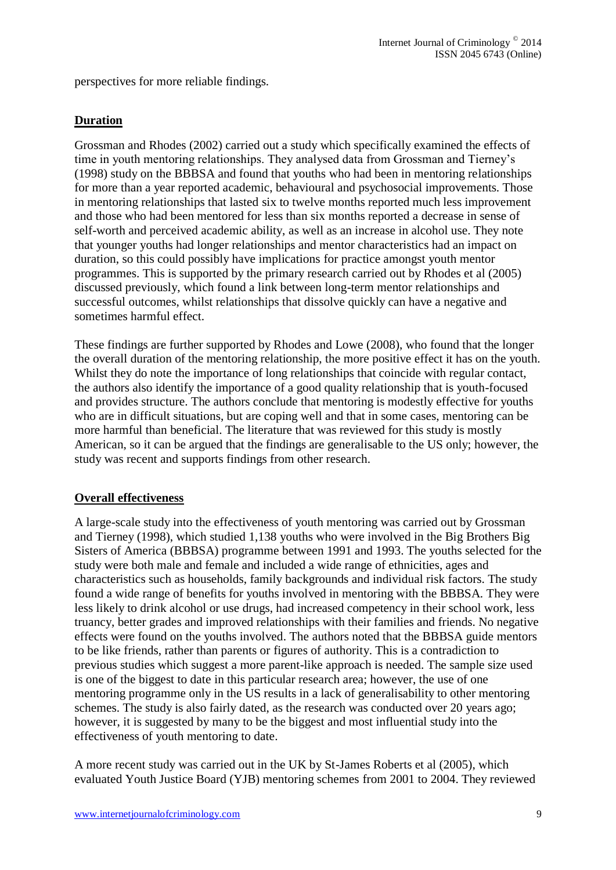perspectives for more reliable findings.

# **Duration**

Grossman and Rhodes (2002) carried out a study which specifically examined the effects of time in youth mentoring relationships. They analysed data from Grossman and Tierney's (1998) study on the BBBSA and found that youths who had been in mentoring relationships for more than a year reported academic, behavioural and psychosocial improvements. Those in mentoring relationships that lasted six to twelve months reported much less improvement and those who had been mentored for less than six months reported a decrease in sense of self-worth and perceived academic ability, as well as an increase in alcohol use. They note that younger youths had longer relationships and mentor characteristics had an impact on duration, so this could possibly have implications for practice amongst youth mentor programmes. This is supported by the primary research carried out by Rhodes et al (2005) discussed previously, which found a link between long-term mentor relationships and successful outcomes, whilst relationships that dissolve quickly can have a negative and sometimes harmful effect.

These findings are further supported by Rhodes and Lowe (2008), who found that the longer the overall duration of the mentoring relationship, the more positive effect it has on the youth. Whilst they do note the importance of long relationships that coincide with regular contact, the authors also identify the importance of a good quality relationship that is youth-focused and provides structure. The authors conclude that mentoring is modestly effective for youths who are in difficult situations, but are coping well and that in some cases, mentoring can be more harmful than beneficial. The literature that was reviewed for this study is mostly American, so it can be argued that the findings are generalisable to the US only; however, the study was recent and supports findings from other research.

# **Overall effectiveness**

A large-scale study into the effectiveness of youth mentoring was carried out by Grossman and Tierney (1998), which studied 1,138 youths who were involved in the Big Brothers Big Sisters of America (BBBSA) programme between 1991 and 1993. The youths selected for the study were both male and female and included a wide range of ethnicities, ages and characteristics such as households, family backgrounds and individual risk factors. The study found a wide range of benefits for youths involved in mentoring with the BBBSA. They were less likely to drink alcohol or use drugs, had increased competency in their school work, less truancy, better grades and improved relationships with their families and friends. No negative effects were found on the youths involved. The authors noted that the BBBSA guide mentors to be like friends, rather than parents or figures of authority. This is a contradiction to previous studies which suggest a more parent-like approach is needed. The sample size used is one of the biggest to date in this particular research area; however, the use of one mentoring programme only in the US results in a lack of generalisability to other mentoring schemes. The study is also fairly dated, as the research was conducted over 20 years ago; however, it is suggested by many to be the biggest and most influential study into the effectiveness of youth mentoring to date.

A more recent study was carried out in the UK by St-James Roberts et al (2005), which evaluated Youth Justice Board (YJB) mentoring schemes from 2001 to 2004. They reviewed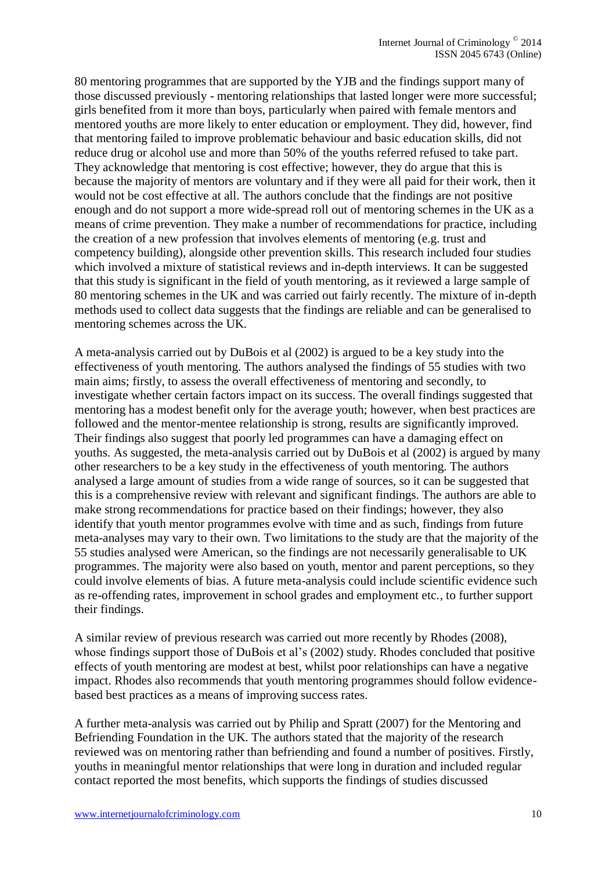80 mentoring programmes that are supported by the YJB and the findings support many of those discussed previously - mentoring relationships that lasted longer were more successful; girls benefited from it more than boys, particularly when paired with female mentors and mentored youths are more likely to enter education or employment. They did, however, find that mentoring failed to improve problematic behaviour and basic education skills, did not reduce drug or alcohol use and more than 50% of the youths referred refused to take part. They acknowledge that mentoring is cost effective; however, they do argue that this is because the majority of mentors are voluntary and if they were all paid for their work, then it would not be cost effective at all. The authors conclude that the findings are not positive enough and do not support a more wide-spread roll out of mentoring schemes in the UK as a means of crime prevention. They make a number of recommendations for practice, including the creation of a new profession that involves elements of mentoring (e.g. trust and competency building), alongside other prevention skills. This research included four studies which involved a mixture of statistical reviews and in-depth interviews. It can be suggested that this study is significant in the field of youth mentoring, as it reviewed a large sample of 80 mentoring schemes in the UK and was carried out fairly recently. The mixture of in-depth methods used to collect data suggests that the findings are reliable and can be generalised to mentoring schemes across the UK.

A meta-analysis carried out by DuBois et al (2002) is argued to be a key study into the effectiveness of youth mentoring. The authors analysed the findings of 55 studies with two main aims; firstly, to assess the overall effectiveness of mentoring and secondly, to investigate whether certain factors impact on its success. The overall findings suggested that mentoring has a modest benefit only for the average youth; however, when best practices are followed and the mentor-mentee relationship is strong, results are significantly improved. Their findings also suggest that poorly led programmes can have a damaging effect on youths. As suggested, the meta-analysis carried out by DuBois et al (2002) is argued by many other researchers to be a key study in the effectiveness of youth mentoring. The authors analysed a large amount of studies from a wide range of sources, so it can be suggested that this is a comprehensive review with relevant and significant findings. The authors are able to make strong recommendations for practice based on their findings; however, they also identify that youth mentor programmes evolve with time and as such, findings from future meta-analyses may vary to their own. Two limitations to the study are that the majority of the 55 studies analysed were American, so the findings are not necessarily generalisable to UK programmes. The majority were also based on youth, mentor and parent perceptions, so they could involve elements of bias. A future meta-analysis could include scientific evidence such as re-offending rates, improvement in school grades and employment etc., to further support their findings.

A similar review of previous research was carried out more recently by Rhodes (2008), whose findings support those of DuBois et al's (2002) study. Rhodes concluded that positive effects of youth mentoring are modest at best, whilst poor relationships can have a negative impact. Rhodes also recommends that youth mentoring programmes should follow evidencebased best practices as a means of improving success rates.

A further meta-analysis was carried out by Philip and Spratt (2007) for the Mentoring and Befriending Foundation in the UK. The authors stated that the majority of the research reviewed was on mentoring rather than befriending and found a number of positives. Firstly, youths in meaningful mentor relationships that were long in duration and included regular contact reported the most benefits, which supports the findings of studies discussed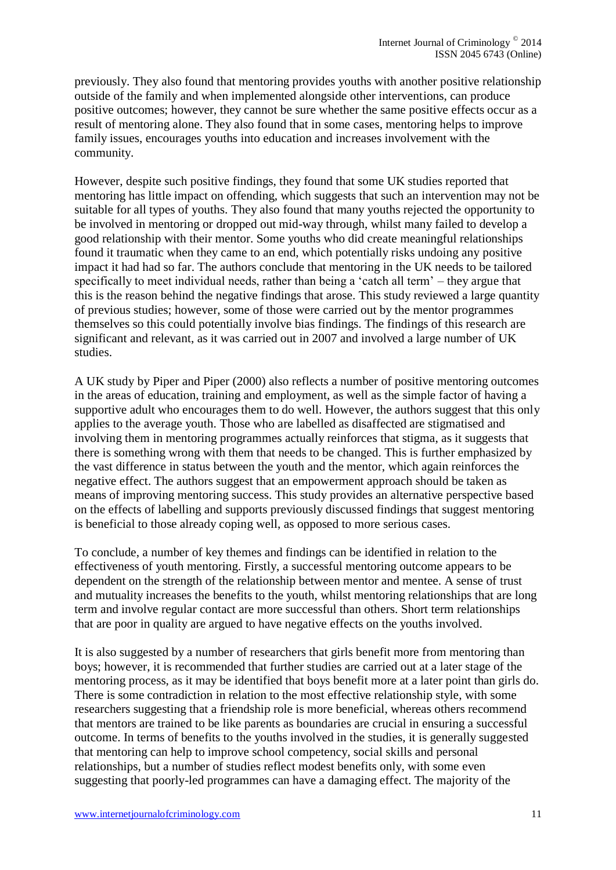previously. They also found that mentoring provides youths with another positive relationship outside of the family and when implemented alongside other interventions, can produce positive outcomes; however, they cannot be sure whether the same positive effects occur as a result of mentoring alone. They also found that in some cases, mentoring helps to improve family issues, encourages youths into education and increases involvement with the community.

However, despite such positive findings, they found that some UK studies reported that mentoring has little impact on offending, which suggests that such an intervention may not be suitable for all types of youths. They also found that many youths rejected the opportunity to be involved in mentoring or dropped out mid-way through, whilst many failed to develop a good relationship with their mentor. Some youths who did create meaningful relationships found it traumatic when they came to an end, which potentially risks undoing any positive impact it had had so far. The authors conclude that mentoring in the UK needs to be tailored specifically to meet individual needs, rather than being a 'catch all term' – they argue that this is the reason behind the negative findings that arose. This study reviewed a large quantity of previous studies; however, some of those were carried out by the mentor programmes themselves so this could potentially involve bias findings. The findings of this research are significant and relevant, as it was carried out in 2007 and involved a large number of UK studies.

A UK study by Piper and Piper (2000) also reflects a number of positive mentoring outcomes in the areas of education, training and employment, as well as the simple factor of having a supportive adult who encourages them to do well. However, the authors suggest that this only applies to the average youth. Those who are labelled as disaffected are stigmatised and involving them in mentoring programmes actually reinforces that stigma, as it suggests that there is something wrong with them that needs to be changed. This is further emphasized by the vast difference in status between the youth and the mentor, which again reinforces the negative effect. The authors suggest that an empowerment approach should be taken as means of improving mentoring success. This study provides an alternative perspective based on the effects of labelling and supports previously discussed findings that suggest mentoring is beneficial to those already coping well, as opposed to more serious cases.

To conclude, a number of key themes and findings can be identified in relation to the effectiveness of youth mentoring. Firstly, a successful mentoring outcome appears to be dependent on the strength of the relationship between mentor and mentee. A sense of trust and mutuality increases the benefits to the youth, whilst mentoring relationships that are long term and involve regular contact are more successful than others. Short term relationships that are poor in quality are argued to have negative effects on the youths involved.

It is also suggested by a number of researchers that girls benefit more from mentoring than boys; however, it is recommended that further studies are carried out at a later stage of the mentoring process, as it may be identified that boys benefit more at a later point than girls do. There is some contradiction in relation to the most effective relationship style, with some researchers suggesting that a friendship role is more beneficial, whereas others recommend that mentors are trained to be like parents as boundaries are crucial in ensuring a successful outcome. In terms of benefits to the youths involved in the studies, it is generally suggested that mentoring can help to improve school competency, social skills and personal relationships, but a number of studies reflect modest benefits only, with some even suggesting that poorly-led programmes can have a damaging effect. The majority of the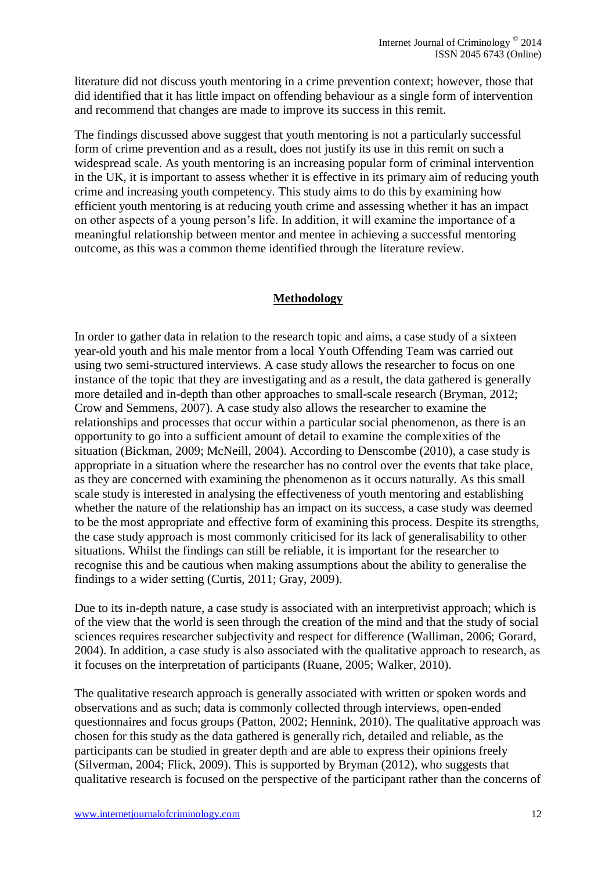literature did not discuss youth mentoring in a crime prevention context; however, those that did identified that it has little impact on offending behaviour as a single form of intervention and recommend that changes are made to improve its success in this remit.

The findings discussed above suggest that youth mentoring is not a particularly successful form of crime prevention and as a result, does not justify its use in this remit on such a widespread scale. As youth mentoring is an increasing popular form of criminal intervention in the UK, it is important to assess whether it is effective in its primary aim of reducing youth crime and increasing youth competency. This study aims to do this by examining how efficient youth mentoring is at reducing youth crime and assessing whether it has an impact on other aspects of a young person's life. In addition, it will examine the importance of a meaningful relationship between mentor and mentee in achieving a successful mentoring outcome, as this was a common theme identified through the literature review.

# **Methodology**

In order to gather data in relation to the research topic and aims, a case study of a sixteen year-old youth and his male mentor from a local Youth Offending Team was carried out using two semi-structured interviews. A case study allows the researcher to focus on one instance of the topic that they are investigating and as a result, the data gathered is generally more detailed and in-depth than other approaches to small-scale research (Bryman, 2012; Crow and Semmens, 2007). A case study also allows the researcher to examine the relationships and processes that occur within a particular social phenomenon, as there is an opportunity to go into a sufficient amount of detail to examine the complexities of the situation (Bickman, 2009; McNeill, 2004). According to Denscombe (2010), a case study is appropriate in a situation where the researcher has no control over the events that take place, as they are concerned with examining the phenomenon as it occurs naturally. As this small scale study is interested in analysing the effectiveness of youth mentoring and establishing whether the nature of the relationship has an impact on its success, a case study was deemed to be the most appropriate and effective form of examining this process. Despite its strengths, the case study approach is most commonly criticised for its lack of generalisability to other situations. Whilst the findings can still be reliable, it is important for the researcher to recognise this and be cautious when making assumptions about the ability to generalise the findings to a wider setting (Curtis, 2011; Gray, 2009).

Due to its in-depth nature, a case study is associated with an interpretivist approach; which is of the view that the world is seen through the creation of the mind and that the study of social sciences requires researcher subjectivity and respect for difference (Walliman, 2006; Gorard, 2004). In addition, a case study is also associated with the qualitative approach to research, as it focuses on the interpretation of participants (Ruane, 2005; Walker, 2010).

The qualitative research approach is generally associated with written or spoken words and observations and as such; data is commonly collected through interviews, open-ended questionnaires and focus groups (Patton, 2002; Hennink, 2010). The qualitative approach was chosen for this study as the data gathered is generally rich, detailed and reliable, as the participants can be studied in greater depth and are able to express their opinions freely (Silverman, 2004; Flick, 2009). This is supported by Bryman (2012), who suggests that qualitative research is focused on the perspective of the participant rather than the concerns of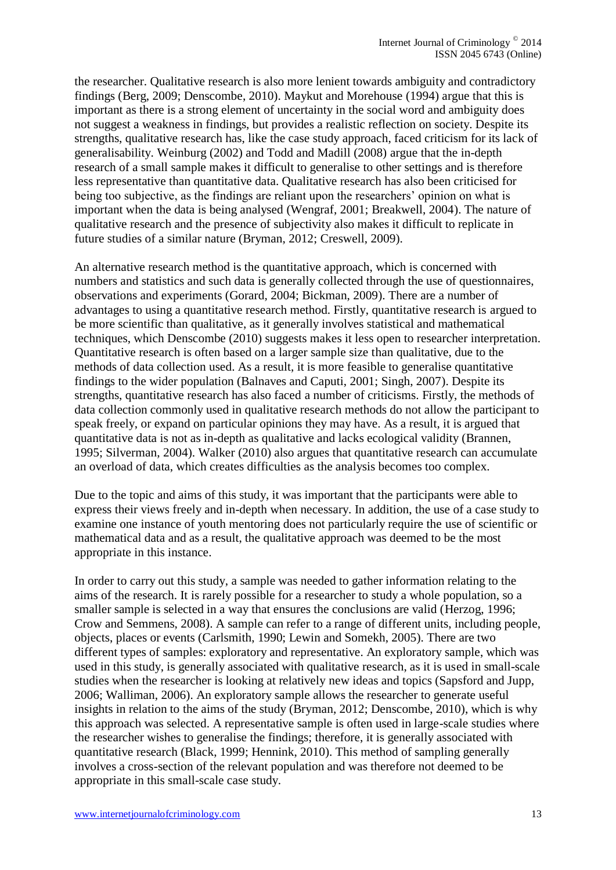the researcher. Qualitative research is also more lenient towards ambiguity and contradictory findings (Berg, 2009; Denscombe, 2010). Maykut and Morehouse (1994) argue that this is important as there is a strong element of uncertainty in the social word and ambiguity does not suggest a weakness in findings, but provides a realistic reflection on society. Despite its strengths, qualitative research has, like the case study approach, faced criticism for its lack of generalisability. Weinburg (2002) and Todd and Madill (2008) argue that the in-depth research of a small sample makes it difficult to generalise to other settings and is therefore less representative than quantitative data. Qualitative research has also been criticised for being too subjective, as the findings are reliant upon the researchers' opinion on what is important when the data is being analysed (Wengraf, 2001; Breakwell, 2004). The nature of qualitative research and the presence of subjectivity also makes it difficult to replicate in future studies of a similar nature (Bryman, 2012; Creswell, 2009).

An alternative research method is the quantitative approach, which is concerned with numbers and statistics and such data is generally collected through the use of questionnaires, observations and experiments (Gorard, 2004; Bickman, 2009). There are a number of advantages to using a quantitative research method. Firstly, quantitative research is argued to be more scientific than qualitative, as it generally involves statistical and mathematical techniques, which Denscombe (2010) suggests makes it less open to researcher interpretation. Quantitative research is often based on a larger sample size than qualitative, due to the methods of data collection used. As a result, it is more feasible to generalise quantitative findings to the wider population (Balnaves and Caputi, 2001; Singh, 2007). Despite its strengths, quantitative research has also faced a number of criticisms. Firstly, the methods of data collection commonly used in qualitative research methods do not allow the participant to speak freely, or expand on particular opinions they may have. As a result, it is argued that quantitative data is not as in-depth as qualitative and lacks ecological validity (Brannen, 1995; Silverman, 2004). Walker (2010) also argues that quantitative research can accumulate an overload of data, which creates difficulties as the analysis becomes too complex.

Due to the topic and aims of this study, it was important that the participants were able to express their views freely and in-depth when necessary. In addition, the use of a case study to examine one instance of youth mentoring does not particularly require the use of scientific or mathematical data and as a result, the qualitative approach was deemed to be the most appropriate in this instance.

In order to carry out this study, a sample was needed to gather information relating to the aims of the research. It is rarely possible for a researcher to study a whole population, so a smaller sample is selected in a way that ensures the conclusions are valid (Herzog, 1996; Crow and Semmens, 2008). A sample can refer to a range of different units, including people, objects, places or events (Carlsmith, 1990; Lewin and Somekh, 2005). There are two different types of samples: exploratory and representative. An exploratory sample, which was used in this study, is generally associated with qualitative research, as it is used in small-scale studies when the researcher is looking at relatively new ideas and topics (Sapsford and Jupp, 2006; Walliman, 2006). An exploratory sample allows the researcher to generate useful insights in relation to the aims of the study (Bryman, 2012; Denscombe, 2010), which is why this approach was selected. A representative sample is often used in large-scale studies where the researcher wishes to generalise the findings; therefore, it is generally associated with quantitative research (Black, 1999; Hennink, 2010). This method of sampling generally involves a cross-section of the relevant population and was therefore not deemed to be appropriate in this small-scale case study.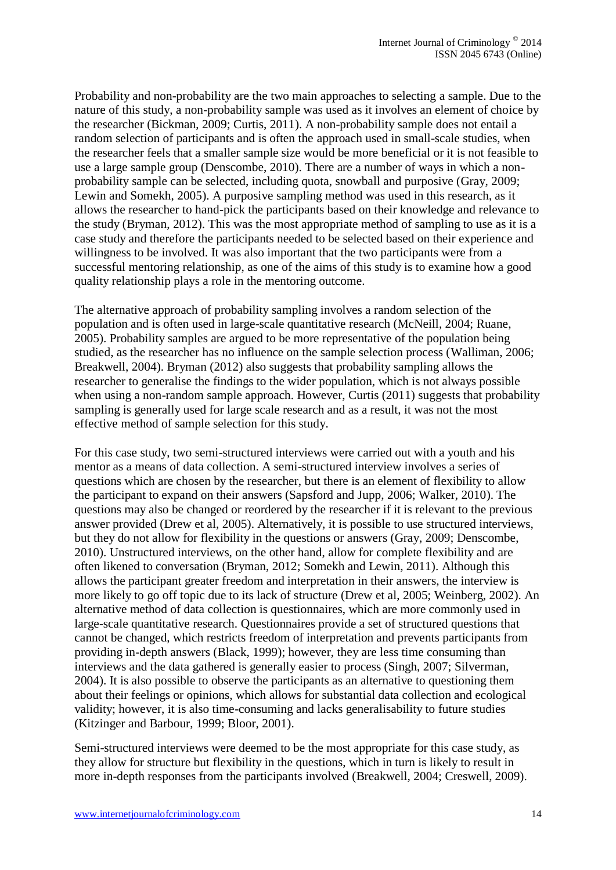Probability and non-probability are the two main approaches to selecting a sample. Due to the nature of this study, a non-probability sample was used as it involves an element of choice by the researcher (Bickman, 2009; Curtis, 2011). A non-probability sample does not entail a random selection of participants and is often the approach used in small-scale studies, when the researcher feels that a smaller sample size would be more beneficial or it is not feasible to use a large sample group (Denscombe, 2010). There are a number of ways in which a nonprobability sample can be selected, including quota, snowball and purposive (Gray, 2009; Lewin and Somekh, 2005). A purposive sampling method was used in this research, as it allows the researcher to hand-pick the participants based on their knowledge and relevance to the study (Bryman, 2012). This was the most appropriate method of sampling to use as it is a case study and therefore the participants needed to be selected based on their experience and willingness to be involved. It was also important that the two participants were from a successful mentoring relationship, as one of the aims of this study is to examine how a good quality relationship plays a role in the mentoring outcome.

The alternative approach of probability sampling involves a random selection of the population and is often used in large-scale quantitative research (McNeill, 2004; Ruane, 2005). Probability samples are argued to be more representative of the population being studied, as the researcher has no influence on the sample selection process (Walliman, 2006; Breakwell, 2004). Bryman (2012) also suggests that probability sampling allows the researcher to generalise the findings to the wider population, which is not always possible when using a non-random sample approach. However, Curtis (2011) suggests that probability sampling is generally used for large scale research and as a result, it was not the most effective method of sample selection for this study.

For this case study, two semi-structured interviews were carried out with a youth and his mentor as a means of data collection. A semi-structured interview involves a series of questions which are chosen by the researcher, but there is an element of flexibility to allow the participant to expand on their answers (Sapsford and Jupp, 2006; Walker, 2010). The questions may also be changed or reordered by the researcher if it is relevant to the previous answer provided (Drew et al, 2005). Alternatively, it is possible to use structured interviews, but they do not allow for flexibility in the questions or answers (Gray, 2009; Denscombe, 2010). Unstructured interviews, on the other hand, allow for complete flexibility and are often likened to conversation (Bryman, 2012; Somekh and Lewin, 2011). Although this allows the participant greater freedom and interpretation in their answers, the interview is more likely to go off topic due to its lack of structure (Drew et al, 2005; Weinberg, 2002). An alternative method of data collection is questionnaires, which are more commonly used in large-scale quantitative research. Questionnaires provide a set of structured questions that cannot be changed, which restricts freedom of interpretation and prevents participants from providing in-depth answers (Black, 1999); however, they are less time consuming than interviews and the data gathered is generally easier to process (Singh, 2007; Silverman, 2004). It is also possible to observe the participants as an alternative to questioning them about their feelings or opinions, which allows for substantial data collection and ecological validity; however, it is also time-consuming and lacks generalisability to future studies (Kitzinger and Barbour, 1999; Bloor, 2001).

Semi-structured interviews were deemed to be the most appropriate for this case study, as they allow for structure but flexibility in the questions, which in turn is likely to result in more in-depth responses from the participants involved (Breakwell, 2004; Creswell, 2009).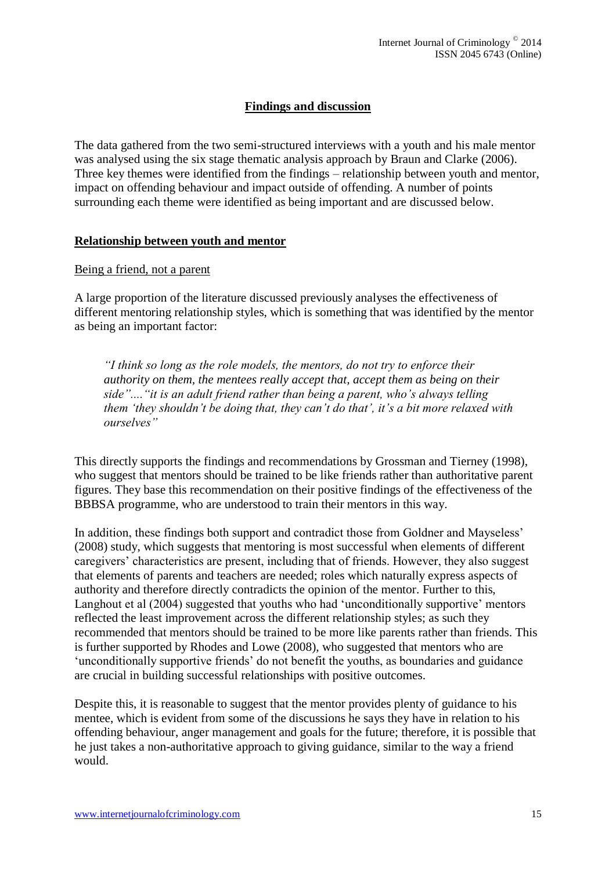# **Findings and discussion**

The data gathered from the two semi-structured interviews with a youth and his male mentor was analysed using the six stage thematic analysis approach by Braun and Clarke (2006). Three key themes were identified from the findings – relationship between youth and mentor, impact on offending behaviour and impact outside of offending. A number of points surrounding each theme were identified as being important and are discussed below.

# **Relationship between youth and mentor**

# Being a friend, not a parent

A large proportion of the literature discussed previously analyses the effectiveness of different mentoring relationship styles, which is something that was identified by the mentor as being an important factor:

*"I think so long as the role models, the mentors, do not try to enforce their authority on them, the mentees really accept that, accept them as being on their side"...."it is an adult friend rather than being a parent, who's always telling them 'they shouldn't be doing that, they can't do that', it's a bit more relaxed with ourselves"*

This directly supports the findings and recommendations by Grossman and Tierney (1998), who suggest that mentors should be trained to be like friends rather than authoritative parent figures. They base this recommendation on their positive findings of the effectiveness of the BBBSA programme, who are understood to train their mentors in this way.

In addition, these findings both support and contradict those from Goldner and Mayseless' (2008) study, which suggests that mentoring is most successful when elements of different caregivers' characteristics are present, including that of friends. However, they also suggest that elements of parents and teachers are needed; roles which naturally express aspects of authority and therefore directly contradicts the opinion of the mentor. Further to this, Langhout et al (2004) suggested that youths who had 'unconditionally supportive' mentors reflected the least improvement across the different relationship styles; as such they recommended that mentors should be trained to be more like parents rather than friends. This is further supported by Rhodes and Lowe (2008), who suggested that mentors who are 'unconditionally supportive friends' do not benefit the youths, as boundaries and guidance are crucial in building successful relationships with positive outcomes.

Despite this, it is reasonable to suggest that the mentor provides plenty of guidance to his mentee, which is evident from some of the discussions he says they have in relation to his offending behaviour, anger management and goals for the future; therefore, it is possible that he just takes a non-authoritative approach to giving guidance, similar to the way a friend would.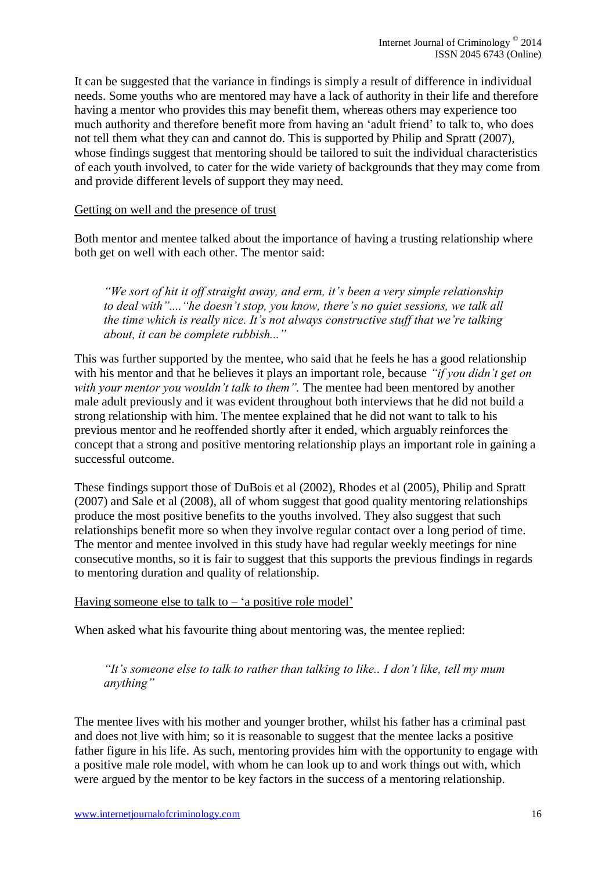It can be suggested that the variance in findings is simply a result of difference in individual needs. Some youths who are mentored may have a lack of authority in their life and therefore having a mentor who provides this may benefit them, whereas others may experience too much authority and therefore benefit more from having an 'adult friend' to talk to, who does not tell them what they can and cannot do. This is supported by Philip and Spratt (2007), whose findings suggest that mentoring should be tailored to suit the individual characteristics of each youth involved, to cater for the wide variety of backgrounds that they may come from and provide different levels of support they may need.

#### Getting on well and the presence of trust

Both mentor and mentee talked about the importance of having a trusting relationship where both get on well with each other. The mentor said:

*"We sort of hit it off straight away, and erm, it's been a very simple relationship to deal with"...."he doesn't stop, you know, there's no quiet sessions, we talk all the time which is really nice. It's not always constructive stuff that we're talking about, it can be complete rubbish..."*

This was further supported by the mentee, who said that he feels he has a good relationship with his mentor and that he believes it plays an important role, because *"if you didn't get on*  with your mentor you wouldn't talk to them". The mentee had been mentored by another male adult previously and it was evident throughout both interviews that he did not build a strong relationship with him. The mentee explained that he did not want to talk to his previous mentor and he reoffended shortly after it ended, which arguably reinforces the concept that a strong and positive mentoring relationship plays an important role in gaining a successful outcome.

These findings support those of DuBois et al (2002), Rhodes et al (2005), Philip and Spratt (2007) and Sale et al (2008), all of whom suggest that good quality mentoring relationships produce the most positive benefits to the youths involved. They also suggest that such relationships benefit more so when they involve regular contact over a long period of time. The mentor and mentee involved in this study have had regular weekly meetings for nine consecutive months, so it is fair to suggest that this supports the previous findings in regards to mentoring duration and quality of relationship.

# Having someone else to talk to  $-$  'a positive role model'

When asked what his favourite thing about mentoring was, the mentee replied:

*"It's someone else to talk to rather than talking to like.. I don't like, tell my mum anything"*

The mentee lives with his mother and younger brother, whilst his father has a criminal past and does not live with him; so it is reasonable to suggest that the mentee lacks a positive father figure in his life. As such, mentoring provides him with the opportunity to engage with a positive male role model, with whom he can look up to and work things out with, which were argued by the mentor to be key factors in the success of a mentoring relationship.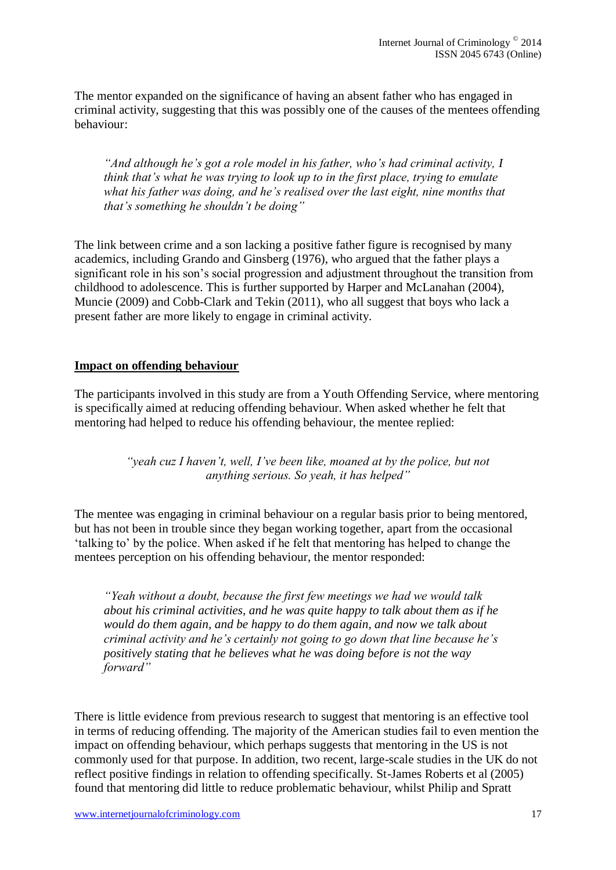The mentor expanded on the significance of having an absent father who has engaged in criminal activity, suggesting that this was possibly one of the causes of the mentees offending behaviour:

*"And although he's got a role model in his father, who's had criminal activity, I think that's what he was trying to look up to in the first place, trying to emulate what his father was doing, and he's realised over the last eight, nine months that that's something he shouldn't be doing"*

The link between crime and a son lacking a positive father figure is recognised by many academics, including Grando and Ginsberg (1976), who argued that the father plays a significant role in his son's social progression and adjustment throughout the transition from childhood to adolescence. This is further supported by Harper and McLanahan (2004), Muncie (2009) and Cobb-Clark and Tekin (2011), who all suggest that boys who lack a present father are more likely to engage in criminal activity.

# **Impact on offending behaviour**

The participants involved in this study are from a Youth Offending Service, where mentoring is specifically aimed at reducing offending behaviour. When asked whether he felt that mentoring had helped to reduce his offending behaviour, the mentee replied:

> *"yeah cuz I haven't, well, I've been like, moaned at by the police, but not anything serious. So yeah, it has helped"*

The mentee was engaging in criminal behaviour on a regular basis prior to being mentored, but has not been in trouble since they began working together, apart from the occasional 'talking to' by the police. When asked if he felt that mentoring has helped to change the mentees perception on his offending behaviour, the mentor responded:

*"Yeah without a doubt, because the first few meetings we had we would talk about his criminal activities, and he was quite happy to talk about them as if he would do them again, and be happy to do them again, and now we talk about criminal activity and he's certainly not going to go down that line because he's positively stating that he believes what he was doing before is not the way forward"*

There is little evidence from previous research to suggest that mentoring is an effective tool in terms of reducing offending. The majority of the American studies fail to even mention the impact on offending behaviour, which perhaps suggests that mentoring in the US is not commonly used for that purpose. In addition, two recent, large-scale studies in the UK do not reflect positive findings in relation to offending specifically. St-James Roberts et al (2005) found that mentoring did little to reduce problematic behaviour, whilst Philip and Spratt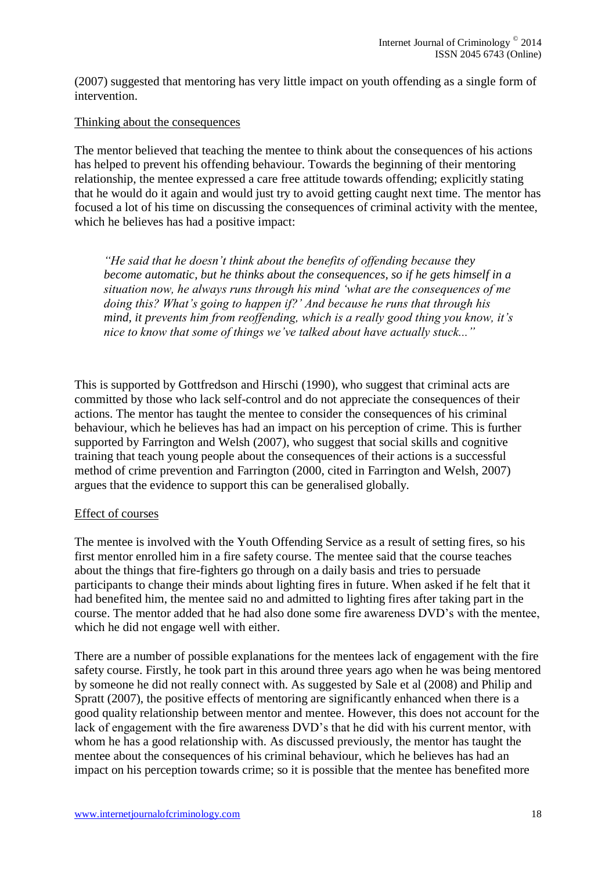(2007) suggested that mentoring has very little impact on youth offending as a single form of intervention.

# Thinking about the consequences

The mentor believed that teaching the mentee to think about the consequences of his actions has helped to prevent his offending behaviour. Towards the beginning of their mentoring relationship, the mentee expressed a care free attitude towards offending; explicitly stating that he would do it again and would just try to avoid getting caught next time. The mentor has focused a lot of his time on discussing the consequences of criminal activity with the mentee, which he believes has had a positive impact:

*"He said that he doesn't think about the benefits of offending because they become automatic, but he thinks about the consequences, so if he gets himself in a situation now, he always runs through his mind 'what are the consequences of me doing this? What's going to happen if?' And because he runs that through his mind, it prevents him from reoffending, which is a really good thing you know, it's nice to know that some of things we've talked about have actually stuck..."*

This is supported by Gottfredson and Hirschi (1990), who suggest that criminal acts are committed by those who lack self-control and do not appreciate the consequences of their actions. The mentor has taught the mentee to consider the consequences of his criminal behaviour, which he believes has had an impact on his perception of crime. This is further supported by Farrington and Welsh (2007), who suggest that social skills and cognitive training that teach young people about the consequences of their actions is a successful method of crime prevention and Farrington (2000, cited in Farrington and Welsh, 2007) argues that the evidence to support this can be generalised globally.

# Effect of courses

The mentee is involved with the Youth Offending Service as a result of setting fires, so his first mentor enrolled him in a fire safety course. The mentee said that the course teaches about the things that fire-fighters go through on a daily basis and tries to persuade participants to change their minds about lighting fires in future. When asked if he felt that it had benefited him, the mentee said no and admitted to lighting fires after taking part in the course. The mentor added that he had also done some fire awareness DVD's with the mentee, which he did not engage well with either.

There are a number of possible explanations for the mentees lack of engagement with the fire safety course. Firstly, he took part in this around three years ago when he was being mentored by someone he did not really connect with. As suggested by Sale et al (2008) and Philip and Spratt (2007), the positive effects of mentoring are significantly enhanced when there is a good quality relationship between mentor and mentee. However, this does not account for the lack of engagement with the fire awareness DVD's that he did with his current mentor, with whom he has a good relationship with. As discussed previously, the mentor has taught the mentee about the consequences of his criminal behaviour, which he believes has had an impact on his perception towards crime; so it is possible that the mentee has benefited more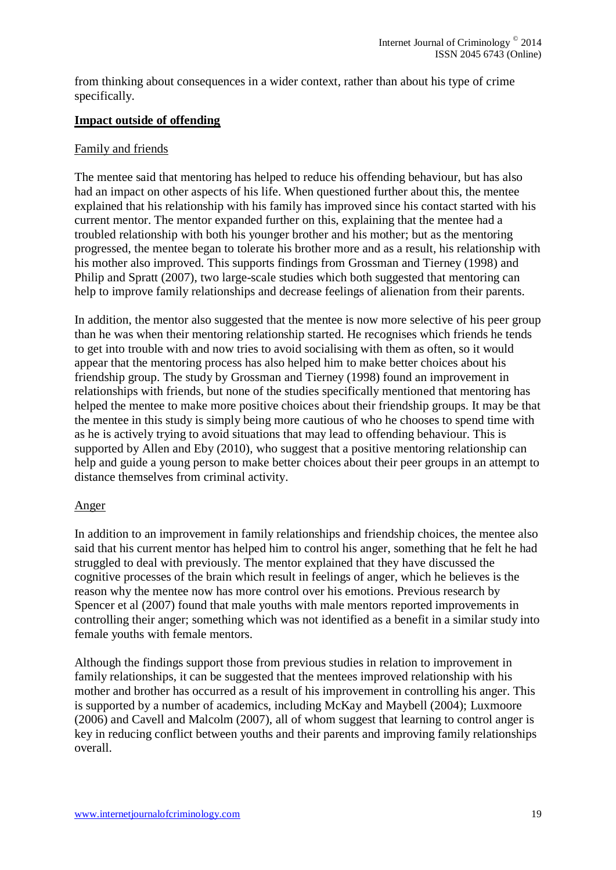from thinking about consequences in a wider context, rather than about his type of crime specifically.

# **Impact outside of offending**

# Family and friends

The mentee said that mentoring has helped to reduce his offending behaviour, but has also had an impact on other aspects of his life. When questioned further about this, the mentee explained that his relationship with his family has improved since his contact started with his current mentor. The mentor expanded further on this, explaining that the mentee had a troubled relationship with both his younger brother and his mother; but as the mentoring progressed, the mentee began to tolerate his brother more and as a result, his relationship with his mother also improved. This supports findings from Grossman and Tierney (1998) and Philip and Spratt (2007), two large-scale studies which both suggested that mentoring can help to improve family relationships and decrease feelings of alienation from their parents.

In addition, the mentor also suggested that the mentee is now more selective of his peer group than he was when their mentoring relationship started. He recognises which friends he tends to get into trouble with and now tries to avoid socialising with them as often, so it would appear that the mentoring process has also helped him to make better choices about his friendship group. The study by Grossman and Tierney (1998) found an improvement in relationships with friends, but none of the studies specifically mentioned that mentoring has helped the mentee to make more positive choices about their friendship groups. It may be that the mentee in this study is simply being more cautious of who he chooses to spend time with as he is actively trying to avoid situations that may lead to offending behaviour. This is supported by Allen and Eby (2010), who suggest that a positive mentoring relationship can help and guide a young person to make better choices about their peer groups in an attempt to distance themselves from criminal activity.

# Anger

In addition to an improvement in family relationships and friendship choices, the mentee also said that his current mentor has helped him to control his anger, something that he felt he had struggled to deal with previously. The mentor explained that they have discussed the cognitive processes of the brain which result in feelings of anger, which he believes is the reason why the mentee now has more control over his emotions. Previous research by Spencer et al (2007) found that male youths with male mentors reported improvements in controlling their anger; something which was not identified as a benefit in a similar study into female youths with female mentors.

Although the findings support those from previous studies in relation to improvement in family relationships, it can be suggested that the mentees improved relationship with his mother and brother has occurred as a result of his improvement in controlling his anger. This is supported by a number of academics, including McKay and Maybell (2004); Luxmoore (2006) and Cavell and Malcolm (2007), all of whom suggest that learning to control anger is key in reducing conflict between youths and their parents and improving family relationships overall.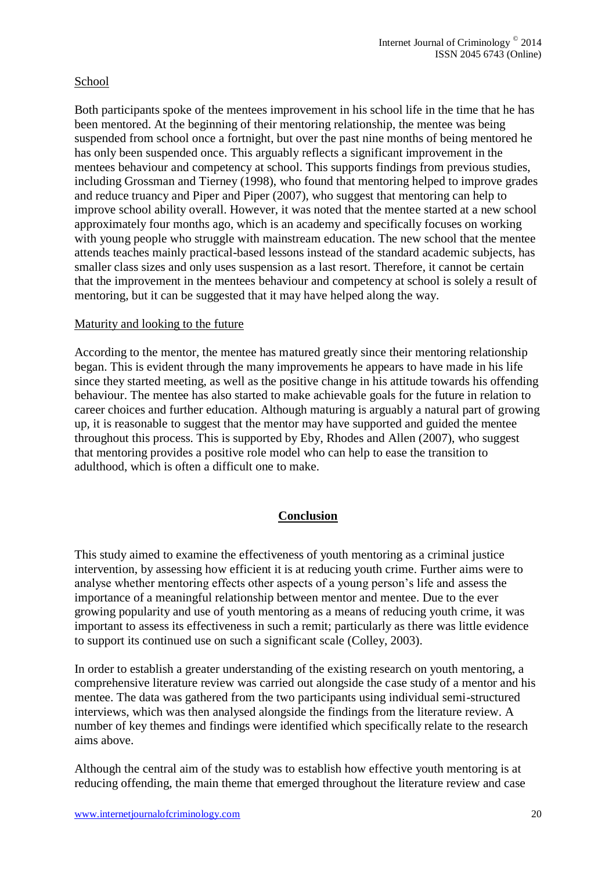# School

Both participants spoke of the mentees improvement in his school life in the time that he has been mentored. At the beginning of their mentoring relationship, the mentee was being suspended from school once a fortnight, but over the past nine months of being mentored he has only been suspended once. This arguably reflects a significant improvement in the mentees behaviour and competency at school. This supports findings from previous studies, including Grossman and Tierney (1998), who found that mentoring helped to improve grades and reduce truancy and Piper and Piper (2007), who suggest that mentoring can help to improve school ability overall. However, it was noted that the mentee started at a new school approximately four months ago, which is an academy and specifically focuses on working with young people who struggle with mainstream education. The new school that the mentee attends teaches mainly practical-based lessons instead of the standard academic subjects, has smaller class sizes and only uses suspension as a last resort. Therefore, it cannot be certain that the improvement in the mentees behaviour and competency at school is solely a result of mentoring, but it can be suggested that it may have helped along the way.

# Maturity and looking to the future

According to the mentor, the mentee has matured greatly since their mentoring relationship began. This is evident through the many improvements he appears to have made in his life since they started meeting, as well as the positive change in his attitude towards his offending behaviour. The mentee has also started to make achievable goals for the future in relation to career choices and further education. Although maturing is arguably a natural part of growing up, it is reasonable to suggest that the mentor may have supported and guided the mentee throughout this process. This is supported by Eby, Rhodes and Allen (2007), who suggest that mentoring provides a positive role model who can help to ease the transition to adulthood, which is often a difficult one to make.

# **Conclusion**

This study aimed to examine the effectiveness of youth mentoring as a criminal justice intervention, by assessing how efficient it is at reducing youth crime. Further aims were to analyse whether mentoring effects other aspects of a young person's life and assess the importance of a meaningful relationship between mentor and mentee. Due to the ever growing popularity and use of youth mentoring as a means of reducing youth crime, it was important to assess its effectiveness in such a remit; particularly as there was little evidence to support its continued use on such a significant scale (Colley, 2003).

In order to establish a greater understanding of the existing research on youth mentoring, a comprehensive literature review was carried out alongside the case study of a mentor and his mentee. The data was gathered from the two participants using individual semi-structured interviews, which was then analysed alongside the findings from the literature review. A number of key themes and findings were identified which specifically relate to the research aims above.

Although the central aim of the study was to establish how effective youth mentoring is at reducing offending, the main theme that emerged throughout the literature review and case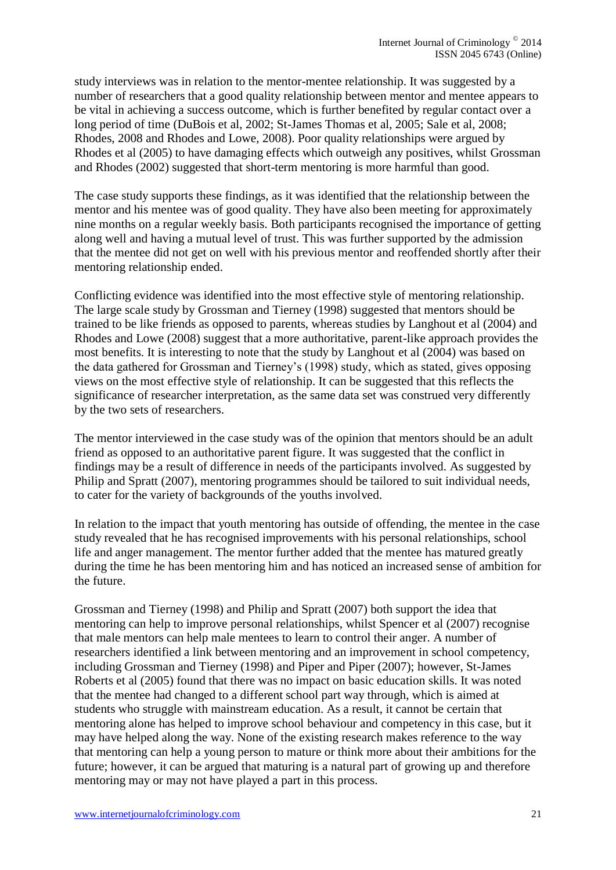study interviews was in relation to the mentor-mentee relationship. It was suggested by a number of researchers that a good quality relationship between mentor and mentee appears to be vital in achieving a success outcome, which is further benefited by regular contact over a long period of time (DuBois et al, 2002; St-James Thomas et al, 2005; Sale et al, 2008; Rhodes, 2008 and Rhodes and Lowe, 2008). Poor quality relationships were argued by Rhodes et al (2005) to have damaging effects which outweigh any positives, whilst Grossman and Rhodes (2002) suggested that short-term mentoring is more harmful than good.

The case study supports these findings, as it was identified that the relationship between the mentor and his mentee was of good quality. They have also been meeting for approximately nine months on a regular weekly basis. Both participants recognised the importance of getting along well and having a mutual level of trust. This was further supported by the admission that the mentee did not get on well with his previous mentor and reoffended shortly after their mentoring relationship ended.

Conflicting evidence was identified into the most effective style of mentoring relationship. The large scale study by Grossman and Tierney (1998) suggested that mentors should be trained to be like friends as opposed to parents, whereas studies by Langhout et al (2004) and Rhodes and Lowe (2008) suggest that a more authoritative, parent-like approach provides the most benefits. It is interesting to note that the study by Langhout et al (2004) was based on the data gathered for Grossman and Tierney's (1998) study, which as stated, gives opposing views on the most effective style of relationship. It can be suggested that this reflects the significance of researcher interpretation, as the same data set was construed very differently by the two sets of researchers.

The mentor interviewed in the case study was of the opinion that mentors should be an adult friend as opposed to an authoritative parent figure. It was suggested that the conflict in findings may be a result of difference in needs of the participants involved. As suggested by Philip and Spratt (2007), mentoring programmes should be tailored to suit individual needs, to cater for the variety of backgrounds of the youths involved.

In relation to the impact that youth mentoring has outside of offending, the mentee in the case study revealed that he has recognised improvements with his personal relationships, school life and anger management. The mentor further added that the mentee has matured greatly during the time he has been mentoring him and has noticed an increased sense of ambition for the future.

Grossman and Tierney (1998) and Philip and Spratt (2007) both support the idea that mentoring can help to improve personal relationships, whilst Spencer et al (2007) recognise that male mentors can help male mentees to learn to control their anger. A number of researchers identified a link between mentoring and an improvement in school competency, including Grossman and Tierney (1998) and Piper and Piper (2007); however, St-James Roberts et al (2005) found that there was no impact on basic education skills. It was noted that the mentee had changed to a different school part way through, which is aimed at students who struggle with mainstream education. As a result, it cannot be certain that mentoring alone has helped to improve school behaviour and competency in this case, but it may have helped along the way. None of the existing research makes reference to the way that mentoring can help a young person to mature or think more about their ambitions for the future; however, it can be argued that maturing is a natural part of growing up and therefore mentoring may or may not have played a part in this process.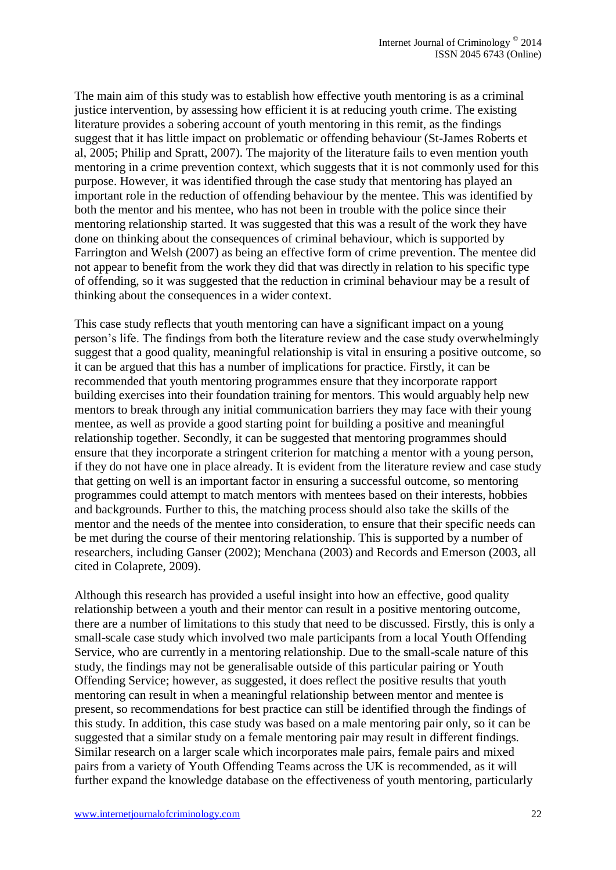The main aim of this study was to establish how effective youth mentoring is as a criminal justice intervention, by assessing how efficient it is at reducing youth crime. The existing literature provides a sobering account of youth mentoring in this remit, as the findings suggest that it has little impact on problematic or offending behaviour (St-James Roberts et al, 2005; Philip and Spratt, 2007). The majority of the literature fails to even mention youth mentoring in a crime prevention context, which suggests that it is not commonly used for this purpose. However, it was identified through the case study that mentoring has played an important role in the reduction of offending behaviour by the mentee. This was identified by both the mentor and his mentee, who has not been in trouble with the police since their mentoring relationship started. It was suggested that this was a result of the work they have done on thinking about the consequences of criminal behaviour, which is supported by Farrington and Welsh (2007) as being an effective form of crime prevention. The mentee did not appear to benefit from the work they did that was directly in relation to his specific type of offending, so it was suggested that the reduction in criminal behaviour may be a result of thinking about the consequences in a wider context.

This case study reflects that youth mentoring can have a significant impact on a young person's life. The findings from both the literature review and the case study overwhelmingly suggest that a good quality, meaningful relationship is vital in ensuring a positive outcome, so it can be argued that this has a number of implications for practice. Firstly, it can be recommended that youth mentoring programmes ensure that they incorporate rapport building exercises into their foundation training for mentors. This would arguably help new mentors to break through any initial communication barriers they may face with their young mentee, as well as provide a good starting point for building a positive and meaningful relationship together. Secondly, it can be suggested that mentoring programmes should ensure that they incorporate a stringent criterion for matching a mentor with a young person, if they do not have one in place already. It is evident from the literature review and case study that getting on well is an important factor in ensuring a successful outcome, so mentoring programmes could attempt to match mentors with mentees based on their interests, hobbies and backgrounds. Further to this, the matching process should also take the skills of the mentor and the needs of the mentee into consideration, to ensure that their specific needs can be met during the course of their mentoring relationship. This is supported by a number of researchers, including Ganser (2002); Menchana (2003) and Records and Emerson (2003, all cited in Colaprete, 2009).

Although this research has provided a useful insight into how an effective, good quality relationship between a youth and their mentor can result in a positive mentoring outcome, there are a number of limitations to this study that need to be discussed. Firstly, this is only a small-scale case study which involved two male participants from a local Youth Offending Service, who are currently in a mentoring relationship. Due to the small-scale nature of this study, the findings may not be generalisable outside of this particular pairing or Youth Offending Service; however, as suggested, it does reflect the positive results that youth mentoring can result in when a meaningful relationship between mentor and mentee is present, so recommendations for best practice can still be identified through the findings of this study. In addition, this case study was based on a male mentoring pair only, so it can be suggested that a similar study on a female mentoring pair may result in different findings. Similar research on a larger scale which incorporates male pairs, female pairs and mixed pairs from a variety of Youth Offending Teams across the UK is recommended, as it will further expand the knowledge database on the effectiveness of youth mentoring, particularly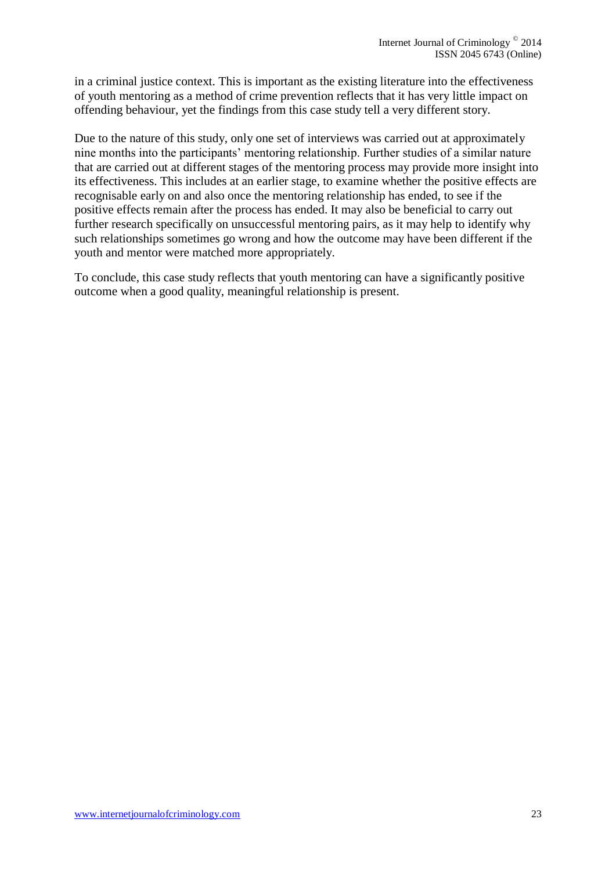in a criminal justice context. This is important as the existing literature into the effectiveness of youth mentoring as a method of crime prevention reflects that it has very little impact on offending behaviour, yet the findings from this case study tell a very different story.

Due to the nature of this study, only one set of interviews was carried out at approximately nine months into the participants' mentoring relationship. Further studies of a similar nature that are carried out at different stages of the mentoring process may provide more insight into its effectiveness. This includes at an earlier stage, to examine whether the positive effects are recognisable early on and also once the mentoring relationship has ended, to see if the positive effects remain after the process has ended. It may also be beneficial to carry out further research specifically on unsuccessful mentoring pairs, as it may help to identify why such relationships sometimes go wrong and how the outcome may have been different if the youth and mentor were matched more appropriately.

To conclude, this case study reflects that youth mentoring can have a significantly positive outcome when a good quality, meaningful relationship is present.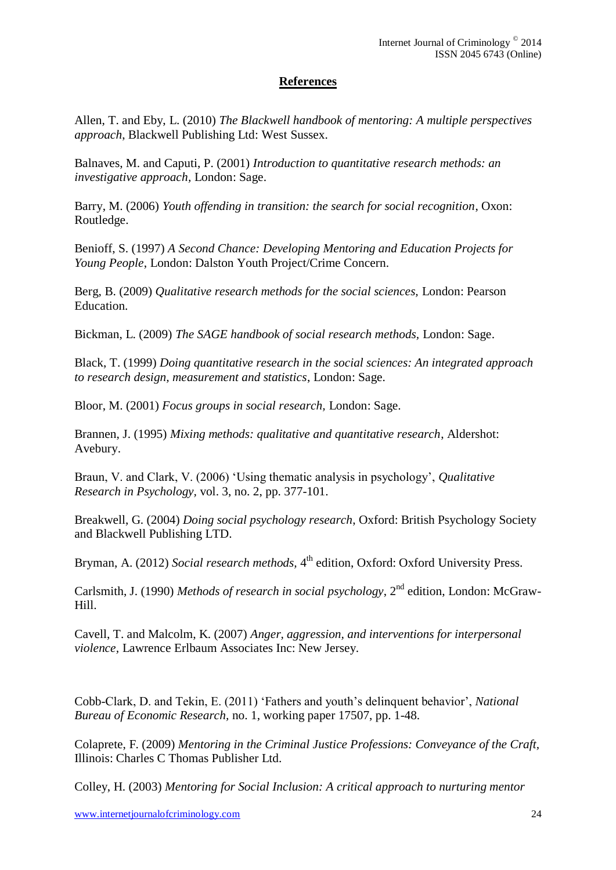# **References**

Allen, T. and Eby, L. (2010) *The Blackwell handbook of mentoring: A multiple perspectives approach*, Blackwell Publishing Ltd: West Sussex.

Balnaves, M. and Caputi, P. (2001) *Introduction to quantitative research methods: an investigative approach,* London: Sage.

Barry, M. (2006) *Youth offending in transition: the search for social recognition*, Oxon: Routledge.

Benioff, S. (1997) *A Second Chance: Developing Mentoring and Education Projects for Young People*, London: Dalston Youth Project/Crime Concern.

Berg, B. (2009) *Qualitative research methods for the social sciences,* London: Pearson Education.

Bickman, L. (2009) *The SAGE handbook of social research methods,* London: Sage.

Black, T. (1999) *Doing quantitative research in the social sciences: An integrated approach to research design, measurement and statistics*, London: Sage.

Bloor, M. (2001) *Focus groups in social research,* London: Sage.

Brannen, J. (1995) *Mixing methods: qualitative and quantitative research*, Aldershot: Avebury.

Braun, V. and Clark, V. (2006) 'Using thematic analysis in psychology', *Qualitative Research in Psychology,* vol. 3, no. 2, pp. 377-101.

Breakwell, G. (2004) *Doing social psychology research*, Oxford: British Psychology Society and Blackwell Publishing LTD.

Bryman, A. (2012) Social research methods, 4<sup>th</sup> edition, Oxford: Oxford University Press.

Carlsmith, J. (1990) *Methods of research in social psychology*, 2<sup>nd</sup> edition, London: McGraw-Hill.

Cavell, T. and Malcolm, K. (2007) *Anger, aggression, and interventions for interpersonal violence,* Lawrence Erlbaum Associates Inc: New Jersey.

Cobb-Clark, D. and Tekin, E. (2011) 'Fathers and youth's delinquent behavior', *National Bureau of Economic Research,* no. 1, working paper 17507, pp. 1-48.

Colaprete, F. (2009) *Mentoring in the Criminal Justice Professions: Conveyance of the Craft,*  Illinois: Charles C Thomas Publisher Ltd.

Colley, H. (2003) *Mentoring for Social Inclusion: A critical approach to nurturing mentor*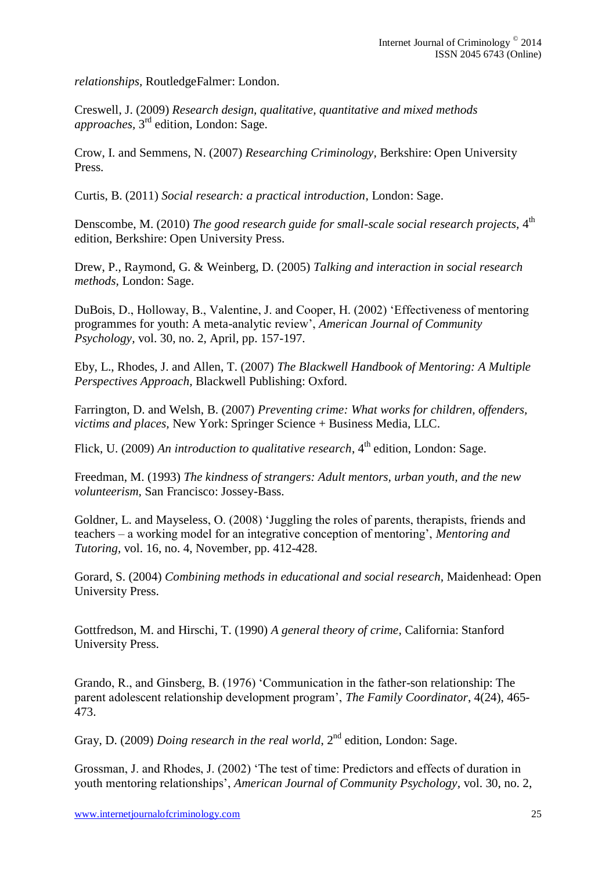*relationships,* RoutledgeFalmer: London.

Creswell, J. (2009) *Research design, qualitative, quantitative and mixed methods approaches,* 3 rd edition, London: Sage.

Crow, I. and Semmens, N. (2007) *Researching Criminology,* Berkshire: Open University Press.

Curtis, B. (2011) *Social research: a practical introduction*, London: Sage.

Denscombe, M. (2010) The good research guide for small-scale social research projects, 4<sup>th</sup> edition, Berkshire: Open University Press.

Drew, P., Raymond, G. & Weinberg, D. (2005) *Talking and interaction in social research methods,* London: Sage.

DuBois, D., Holloway, B., Valentine, J. and Cooper, H. (2002) 'Effectiveness of mentoring programmes for youth: A meta-analytic review', *American Journal of Community Psychology,* vol. 30, no. 2, April, pp. 157-197.

Eby, L., Rhodes, J. and Allen, T. (2007) *The Blackwell Handbook of Mentoring: A Multiple Perspectives Approach,* Blackwell Publishing: Oxford.

Farrington, D. and Welsh, B. (2007) *Preventing crime: What works for children, offenders, victims and places,* New York: Springer Science + Business Media, LLC.

Flick, U. (2009) An introduction to qualitative research, 4<sup>th</sup> edition, London: Sage.

Freedman, M. (1993) *The kindness of strangers: Adult mentors, urban youth, and the new volunteerism,* San Francisco: Jossey-Bass.

Goldner, L. and Mayseless, O. (2008) 'Juggling the roles of parents, therapists, friends and teachers – a working model for an integrative conception of mentoring', *Mentoring and Tutoring,* vol. 16, no. 4, November, pp. 412-428.

Gorard, S. (2004) *Combining methods in educational and social research,* Maidenhead: Open University Press.

Gottfredson, M. and Hirschi, T. (1990) *A general theory of crime,* California: Stanford University Press.

Grando, R., and Ginsberg, B. (1976) 'Communication in the father-son relationship: The parent adolescent relationship development program', *The Family Coordinator*, 4(24), 465- 473.

Gray, D. (2009) *Doing research in the real world*, 2<sup>nd</sup> edition, London: Sage.

Grossman, J. and Rhodes, J. (2002) 'The test of time: Predictors and effects of duration in youth mentoring relationships', *American Journal of Community Psychology,* vol. 30, no. 2,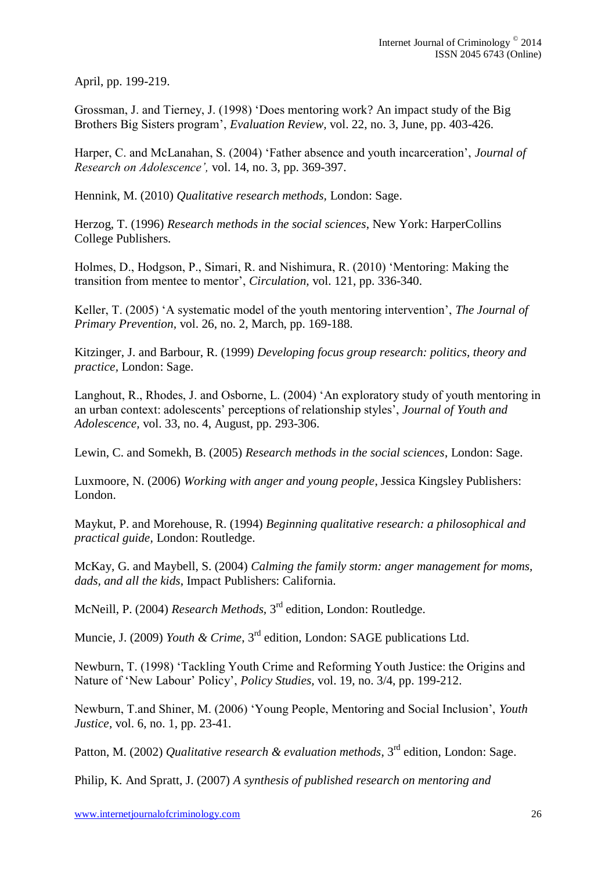April, pp. 199-219.

Grossman, J. and Tierney, J. (1998) 'Does mentoring work? An impact study of the Big Brothers Big Sisters program', *Evaluation Review,* vol. 22, no. 3, June, pp. 403-426.

Harper, C. and McLanahan, S. (2004) 'Father absence and youth incarceration', *Journal of Research on Adolescence',* vol. 14, no. 3, pp. 369-397.

Hennink, M. (2010) *Qualitative research methods,* London: Sage.

Herzog, T. (1996) *Research methods in the social sciences*, New York: HarperCollins College Publishers.

Holmes, D., Hodgson, P., Simari, R. and Nishimura, R. (2010) 'Mentoring: Making the transition from mentee to mentor', *Circulation,* vol. 121, pp. 336-340.

Keller, T. (2005) 'A systematic model of the youth mentoring intervention', *The Journal of Primary Prevention,* vol. 26, no. 2, March, pp. 169-188.

Kitzinger, J. and Barbour, R. (1999) *Developing focus group research: politics, theory and practice,* London: Sage.

Langhout, R., Rhodes, J. and Osborne, L. (2004) 'An exploratory study of youth mentoring in an urban context: adolescents' perceptions of relationship styles', *Journal of Youth and Adolescence,* vol. 33, no. 4, August, pp. 293-306.

Lewin, C. and Somekh, B. (2005) *Research methods in the social sciences*, London: Sage.

Luxmoore, N. (2006) *Working with anger and young people*, Jessica Kingsley Publishers: London.

Maykut, P. and Morehouse, R. (1994) *Beginning qualitative research: a philosophical and practical guide,* London: Routledge.

McKay, G. and Maybell, S. (2004) *Calming the family storm: anger management for moms, dads, and all the kids*, Impact Publishers: California.

McNeill, P. (2004) *Research Methods*, 3<sup>rd</sup> edition, London: Routledge.

Muncie, J. (2009) *Youth & Crime*, 3rd edition, London: SAGE publications Ltd.

Newburn, T. (1998) 'Tackling Youth Crime and Reforming Youth Justice: the Origins and Nature of 'New Labour' Policy', *Policy Studies,* vol. 19, no. 3/4, pp. 199-212.

Newburn, T.and Shiner, M. (2006) 'Young People, Mentoring and Social Inclusion', *Youth Justice*, vol. 6, no. 1, pp. 23-41.

Patton, M. (2002) *Qualitative research & evaluation methods*, 3<sup>rd</sup> edition, London: Sage.

Philip, K. And Spratt, J. (2007) *A synthesis of published research on mentoring and*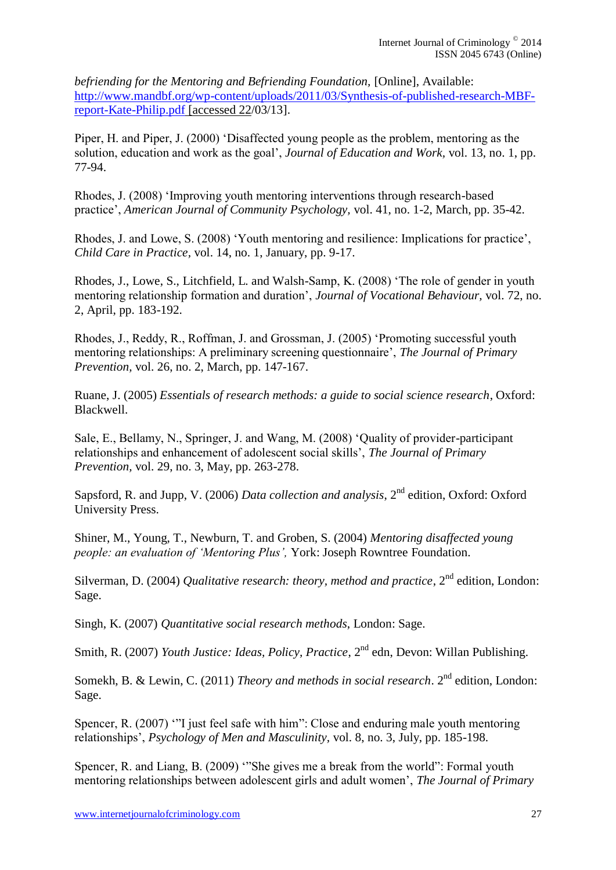*befriending for the Mentoring and Befriending Foundation,* [Online], Available: [http://www.mandbf.org/wp-content/uploads/2011/03/Synthesis-of-published-research-MBF](http://www.mandbf.org/wp-content/uploads/2011/03/Synthesis-of-published-research-MBF-report-Kate-Philip.pdf%20%5baccessed%2022)[report-Kate-Philip.pdf](http://www.mandbf.org/wp-content/uploads/2011/03/Synthesis-of-published-research-MBF-report-Kate-Philip.pdf%20%5baccessed%2022) [accessed 22/03/13].

Piper, H. and Piper, J. (2000) 'Disaffected young people as the problem, mentoring as the solution, education and work as the goal', *Journal of Education and Work,* vol. 13, no. 1, pp. 77-94.

Rhodes, J. (2008) 'Improving youth mentoring interventions through research-based practice', *American Journal of Community Psychology,* vol. 41, no. 1-2, March, pp. 35-42.

Rhodes, J. and Lowe, S. (2008) 'Youth mentoring and resilience: Implications for practice', *Child Care in Practice,* vol. 14, no. 1, January, pp. 9-17.

Rhodes, J., Lowe, S., Litchfield, L. and Walsh-Samp, K. (2008) 'The role of gender in youth mentoring relationship formation and duration', *Journal of Vocational Behaviour,* vol. 72, no. 2, April, pp. 183-192.

Rhodes, J., Reddy, R., Roffman, J. and Grossman, J. (2005) 'Promoting successful youth mentoring relationships: A preliminary screening questionnaire', *The Journal of Primary Prevention,* vol. 26, no. 2, March, pp. 147-167.

Ruane, J. (2005) *Essentials of research methods: a guide to social science research*, Oxford: Blackwell.

Sale, E., Bellamy, N., Springer, J. and Wang, M. (2008) 'Quality of provider-participant relationships and enhancement of adolescent social skills', *The Journal of Primary Prevention,* vol. 29, no. 3, May, pp. 263-278.

Sapsford, R. and Jupp, V. (2006) *Data collection and analysis*,  $2^{nd}$  edition, Oxford: Oxford University Press.

Shiner, M., Young, T., Newburn, T. and Groben, S. (2004) *Mentoring disaffected young people: an evaluation of 'Mentoring Plus',* York: Joseph Rowntree Foundation.

Silverman, D. (2004) *Qualitative research: theory, method and practice*, 2<sup>nd</sup> edition, London: Sage.

Singh, K. (2007) *Quantitative social research methods*, London: Sage.

Smith, R. (2007) *Youth Justice: Ideas, Policy, Practice*, 2<sup>nd</sup> edn, Devon: Willan Publishing.

Somekh, B. & Lewin, C. (2011) *Theory and methods in social research*. 2<sup>nd</sup> edition, London: Sage.

Spencer, R. (2007) '"I just feel safe with him": Close and enduring male youth mentoring relationships', *Psychology of Men and Masculinity,* vol. 8, no. 3, July, pp. 185-198.

Spencer, R. and Liang, B. (2009) '"She gives me a break from the world": Formal youth mentoring relationships between adolescent girls and adult women', *The Journal of Primary*